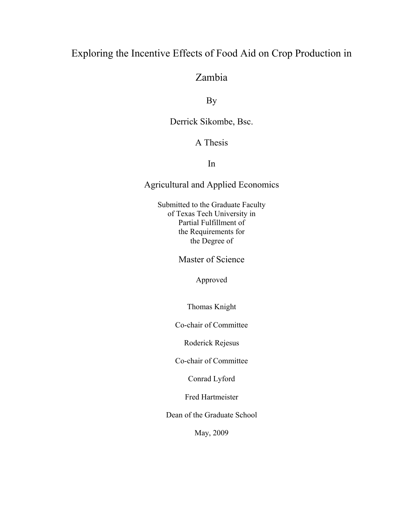# Exploring the Incentive Effects of Food Aid on Crop Production in

# Zambia

By

Derrick Sikombe, Bsc.

# A Thesis

## In

# Agricultural and Applied Economics

Submitted to the Graduate Faculty of Texas Tech University in Partial Fulfillment of the Requirements for the Degree of

Master of Science

Approved

Thomas Knight

Co-chair of Committee

Roderick Rejesus

Co-chair of Committee

Conrad Lyford

Fred Hartmeister

Dean of the Graduate School

May, 2009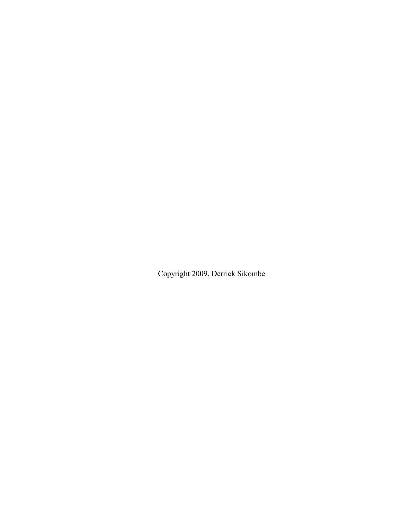Copyright 2009, Derrick Sikombe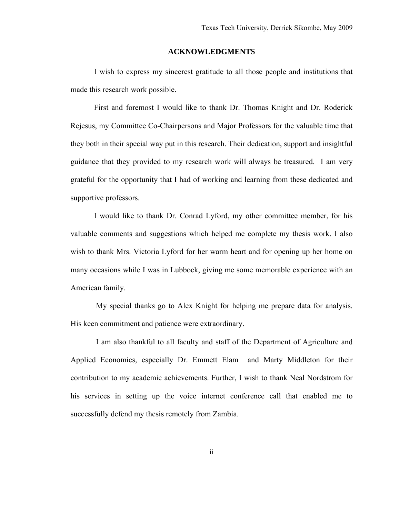### **ACKNOWLEDGMENTS**

<span id="page-2-1"></span><span id="page-2-0"></span>I wish to express my sincerest gratitude to all those people and institutions that made this research work possible.

First and foremost I would like to thank Dr. Thomas Knight and Dr. Roderick Rejesus, my Committee Co-Chairpersons and Major Professors for the valuable time that they both in their special way put in this research. Their dedication, support and insightful guidance that they provided to my research work will always be treasured. I am very grateful for the opportunity that I had of working and learning from these dedicated and supportive professors.

I would like to thank Dr. Conrad Lyford, my other committee member, for his valuable comments and suggestions which helped me complete my thesis work. I also wish to thank Mrs. Victoria Lyford for her warm heart and for opening up her home on many occasions while I was in Lubbock, giving me some memorable experience with an American family.

 My special thanks go to Alex Knight for helping me prepare data for analysis. His keen commitment and patience were extraordinary.

 I am also thankful to all faculty and staff of the Department of Agriculture and Applied Economics, especially [Dr. Emmett Elam](http://www.aaec.ttu.edu/People/Faculty/emmett_elam.php) and [Marty Middleton f](http://www.aaec.ttu.edu/People/Faculty/Marty_middleton.php)or their contribution to my academic achievements. Further, I wish to thank Neal Nordstrom for his services in setting up the voice internet conference call that enabled me to successfully defend my thesis remotely from Zambia.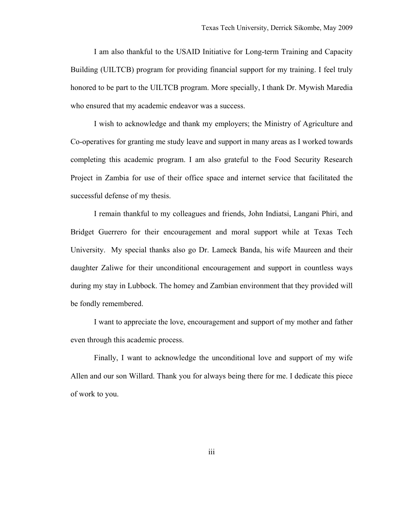I am also thankful to the [USAID Initiative for Long-term Training and Capacity](http://www.isp.msu.edu/crsp/RequestforEOIUILTCB Training Program.doc)  [Building \(UILTCB\)](http://www.isp.msu.edu/crsp/RequestforEOIUILTCB Training Program.doc) program for providing financial support for my training. I feel truly honored to be part to the UILTCB program. More specially, I thank Dr. Mywish Maredia who ensured that my academic endeavor was a success.

I wish to acknowledge and thank my employers; the Ministry of Agriculture and Co-operatives for granting me study leave and support in many areas as I worked towards completing this academic program. I am also grateful to the Food Security Research Project in Zambia for use of their office space and internet service that facilitated the successful defense of my thesis.

I remain thankful to my colleagues and friends, John Indiatsi, Langani Phiri, and Bridget Guerrero for their encouragement and moral support while at Texas Tech University. My special thanks also go Dr. Lameck Banda, his wife Maureen and their daughter Zaliwe for their unconditional encouragement and support in countless ways during my stay in Lubbock. The homey and Zambian environment that they provided will be fondly remembered.

I want to appreciate the love, encouragement and support of my mother and father even through this academic process.

Finally, I want to acknowledge the unconditional love and support of my wife Allen and our son Willard. Thank you for always being there for me. I dedicate this piece of work to you.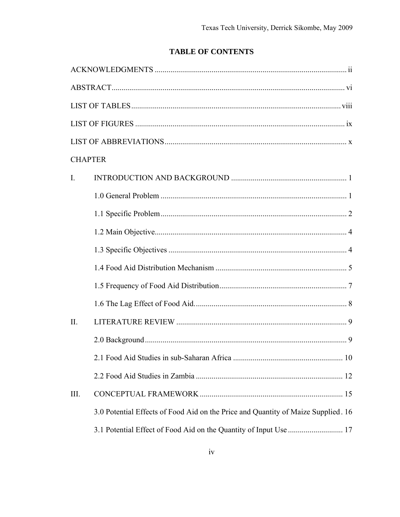# **TABLE OF CONTENTS**

| <b>CHAPTER</b> |                                                                                   |  |
|----------------|-----------------------------------------------------------------------------------|--|
| $\mathbf{I}$ . |                                                                                   |  |
|                |                                                                                   |  |
|                |                                                                                   |  |
|                |                                                                                   |  |
|                |                                                                                   |  |
|                |                                                                                   |  |
|                |                                                                                   |  |
|                |                                                                                   |  |
| $\Pi$ .        |                                                                                   |  |
|                |                                                                                   |  |
|                |                                                                                   |  |
|                |                                                                                   |  |
| III.           |                                                                                   |  |
|                | 3.0 Potential Effects of Food Aid on the Price and Quantity of Maize Supplied. 16 |  |
|                |                                                                                   |  |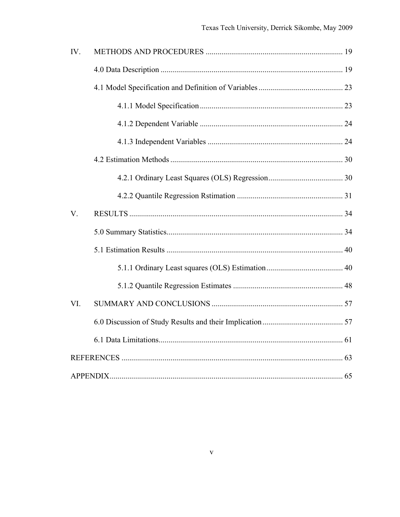| IV.         |  |
|-------------|--|
|             |  |
|             |  |
|             |  |
|             |  |
|             |  |
|             |  |
|             |  |
|             |  |
| $V_{\cdot}$ |  |
|             |  |
|             |  |
|             |  |
|             |  |
| VI.         |  |
|             |  |
|             |  |
|             |  |
|             |  |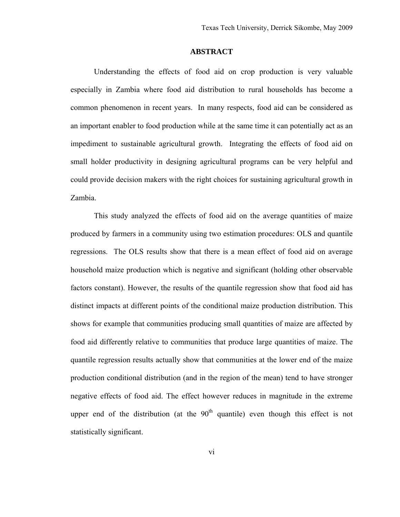### **ABSTRACT**

<span id="page-6-1"></span><span id="page-6-0"></span>Understanding the effects of food aid on crop production is very valuable especially in Zambia where food aid distribution to rural households has become a common phenomenon in recent years. In many respects, food aid can be considered as an important enabler to food production while at the same time it can potentially act as an impediment to sustainable agricultural growth. Integrating the effects of food aid on small holder productivity in designing agricultural programs can be very helpful and could provide decision makers with the right choices for sustaining agricultural growth in Zambia.

This study analyzed the effects of food aid on the average quantities of maize produced by farmers in a community using two estimation procedures: OLS and quantile regressions. The OLS results show that there is a mean effect of food aid on average household maize production which is negative and significant (holding other observable factors constant). However, the results of the quantile regression show that food aid has distinct impacts at different points of the conditional maize production distribution. This shows for example that communities producing small quantities of maize are affected by food aid differently relative to communities that produce large quantities of maize. The quantile regression results actually show that communities at the lower end of the maize production conditional distribution (and in the region of the mean) tend to have stronger negative effects of food aid. The effect however reduces in magnitude in the extreme upper end of the distribution (at the  $90<sup>th</sup>$  quantile) even though this effect is not statistically significant.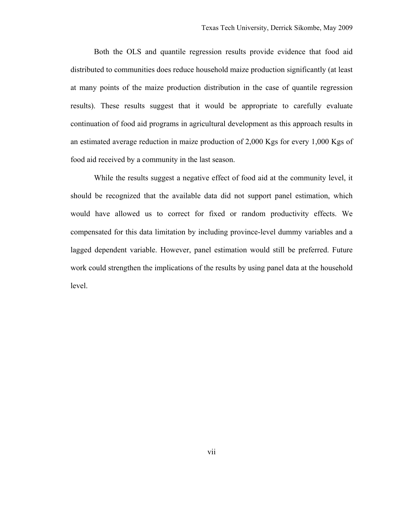Both the OLS and quantile regression results provide evidence that food aid distributed to communities does reduce household maize production significantly (at least at many points of the maize production distribution in the case of quantile regression results). These results suggest that it would be appropriate to carefully evaluate continuation of food aid programs in agricultural development as this approach results in an estimated average reduction in maize production of 2,000 Kgs for every 1,000 Kgs of food aid received by a community in the last season.

While the results suggest a negative effect of food aid at the community level, it should be recognized that the available data did not support panel estimation, which would have allowed us to correct for fixed or random productivity effects. We compensated for this data limitation by including province-level dummy variables and a lagged dependent variable. However, panel estimation would still be preferred. Future work could strengthen the implications of the results by using panel data at the household level.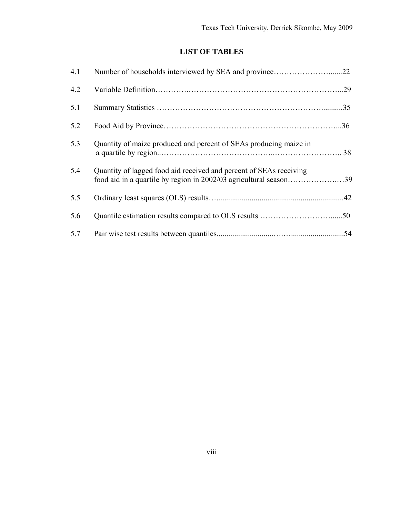## **LIST OF TABLES**

<span id="page-8-1"></span><span id="page-8-0"></span>

| 4.1 |                                                                                                                                         |     |
|-----|-----------------------------------------------------------------------------------------------------------------------------------------|-----|
| 4.2 |                                                                                                                                         |     |
| 5.1 |                                                                                                                                         |     |
| 5.2 |                                                                                                                                         | .36 |
| 5.3 | Quantity of maize produced and percent of SEAs producing maize in                                                                       |     |
| 5.4 | Quantity of lagged food aid received and percent of SEAs receiving<br>food aid in a quartile by region in 2002/03 agricultural season39 |     |
| 5.5 |                                                                                                                                         |     |
| 5.6 |                                                                                                                                         |     |
| 5.7 |                                                                                                                                         | .54 |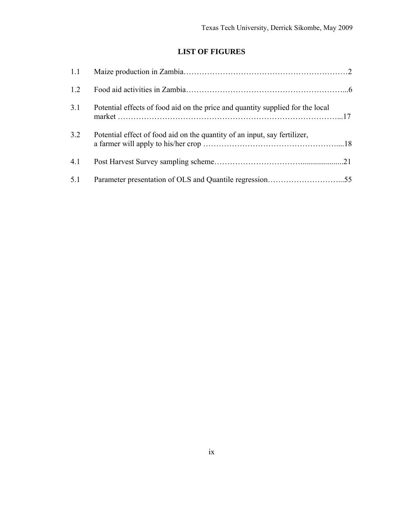# **LIST OF FIGURES**

<span id="page-9-1"></span><span id="page-9-0"></span>

| 1.2 |                                                                                |  |
|-----|--------------------------------------------------------------------------------|--|
| 3.1 | Potential effects of food aid on the price and quantity supplied for the local |  |
| 3.2 | Potential effect of food aid on the quantity of an input, say fertilizer,      |  |
| 4.1 |                                                                                |  |
| 5.1 |                                                                                |  |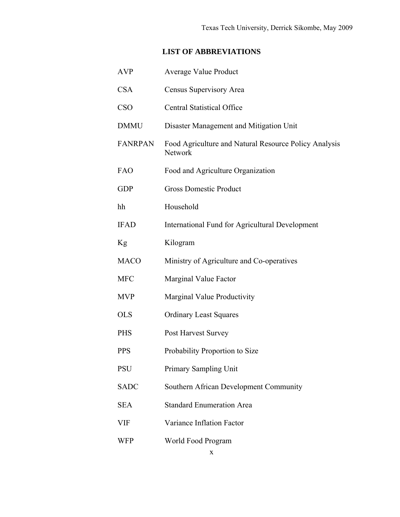# **LIST OF ABBREVIATIONS**

<span id="page-10-1"></span><span id="page-10-0"></span>

| <b>AVP</b>     | <b>Average Value Product</b>                                     |
|----------------|------------------------------------------------------------------|
| <b>CSA</b>     | Census Supervisory Area                                          |
| <b>CSO</b>     | <b>Central Statistical Office</b>                                |
| <b>DMMU</b>    | Disaster Management and Mitigation Unit                          |
| <b>FANRPAN</b> | Food Agriculture and Natural Resource Policy Analysis<br>Network |
| <b>FAO</b>     | Food and Agriculture Organization                                |
| <b>GDP</b>     | <b>Gross Domestic Product</b>                                    |
| hh             | Household                                                        |
| <b>IFAD</b>    | International Fund for Agricultural Development                  |
| Kg             | Kilogram                                                         |
| <b>MACO</b>    | Ministry of Agriculture and Co-operatives                        |
| <b>MFC</b>     | Marginal Value Factor                                            |
| <b>MVP</b>     | Marginal Value Productivity                                      |
| <b>OLS</b>     | <b>Ordinary Least Squares</b>                                    |
| <b>PHS</b>     | Post Harvest Survey                                              |
| <b>PPS</b>     | Probability Proportion to Size                                   |
| <b>PSU</b>     | Primary Sampling Unit                                            |
| <b>SADC</b>    | Southern African Development Community                           |
| <b>SEA</b>     | <b>Standard Enumeration Area</b>                                 |
| VIF            | Variance Inflation Factor                                        |
| <b>WFP</b>     | World Food Program                                               |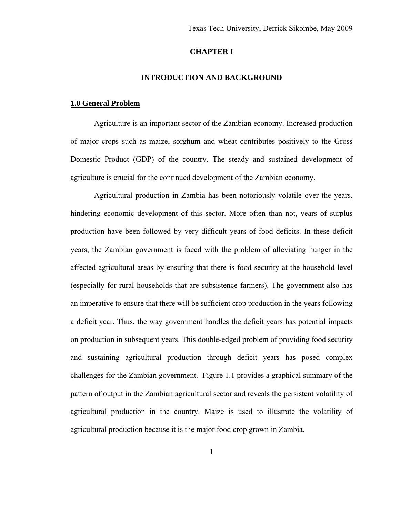### **CHAPTER I**

### **INTRODUCTION AND BACKGROUND**

#### <span id="page-11-2"></span><span id="page-11-1"></span><span id="page-11-0"></span>**1.0 General Problem**

Agriculture is an important sector of the Zambian economy. Increased production of major crops such as maize, sorghum and wheat contributes positively to the Gross Domestic Product (GDP) of the country. The steady and sustained development of agriculture is crucial for the continued development of the Zambian economy.

Agricultural production in Zambia has been notoriously volatile over the years, hindering economic development of this sector. More often than not, years of surplus production have been followed by very difficult years of food deficits. In these deficit years, the Zambian government is faced with the problem of alleviating hunger in the affected agricultural areas by ensuring that there is food security at the household level (especially for rural households that are subsistence farmers). The government also has an imperative to ensure that there will be sufficient crop production in the years following a deficit year. Thus, the way government handles the deficit years has potential impacts on production in subsequent years. This double-edged problem of providing food security and sustaining agricultural production through deficit years has posed complex challenges for the Zambian government. Figure 1.1 provides a graphical summary of the pattern of output in the Zambian agricultural sector and reveals the persistent volatility of agricultural production in the country. Maize is used to illustrate the volatility of agricultural production because it is the major food crop grown in Zambia.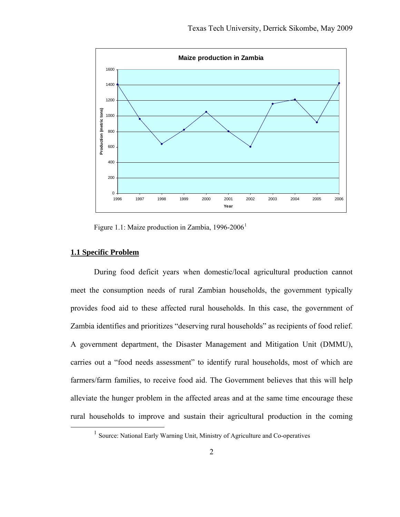<span id="page-12-0"></span>

Figure [1](#page-12-2).1: Maize production in Zambia,  $1996-2006<sup>1</sup>$ 

### <span id="page-12-1"></span>**1.1 Specific Problem**

During food deficit years when domestic/local agricultural production cannot meet the consumption needs of rural Zambian households, the government typically provides food aid to these affected rural households. In this case, the government of Zambia identifies and prioritizes "deserving rural households" as recipients of food relief. A government department, the Disaster Management and Mitigation Unit (DMMU), carries out a "food needs assessment" to identify rural households, most of which are farmers/farm families, to receive food aid. The Government believes that this will help alleviate the hunger problem in the affected areas and at the same time encourage these rural households to improve and sustain their agricultural production in the coming

<span id="page-12-2"></span><sup>&</sup>lt;sup>1</sup> Source: National Early Warning Unit, Ministry of Agriculture and Co-operatives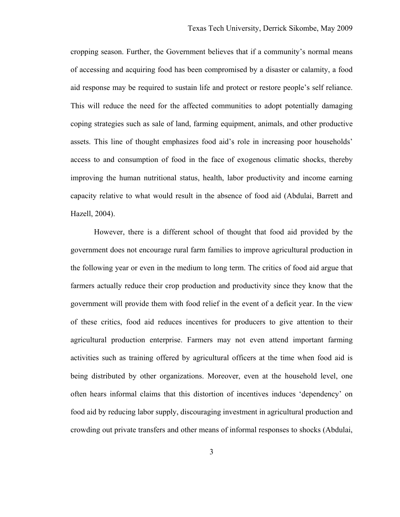cropping season. Further, the Government believes that if a community's normal means of accessing and acquiring food has been compromised by a disaster or calamity, a food aid response may be required to sustain life and protect or restore people's self reliance. This will reduce the need for the affected communities to adopt potentially damaging coping strategies such as sale of land, farming equipment, animals, and other productive assets. This line of thought emphasizes food aid's role in increasing poor households' access to and consumption of food in the face of exogenous climatic shocks, thereby improving the human nutritional status, health, labor productivity and income earning capacity relative to what would result in the absence of food aid (Abdulai, Barrett and Hazell, 2004).

However, there is a different school of thought that food aid provided by the government does not encourage rural farm families to improve agricultural production in the following year or even in the medium to long term. The critics of food aid argue that farmers actually reduce their crop production and productivity since they know that the government will provide them with food relief in the event of a deficit year. In the view of these critics, food aid reduces incentives for producers to give attention to their agricultural production enterprise. Farmers may not even attend important farming activities such as training offered by agricultural officers at the time when food aid is being distributed by other organizations. Moreover, even at the household level, one often hears informal claims that this distortion of incentives induces 'dependency' on food aid by reducing labor supply, discouraging investment in agricultural production and crowding out private transfers and other means of informal responses to shocks (Abdulai,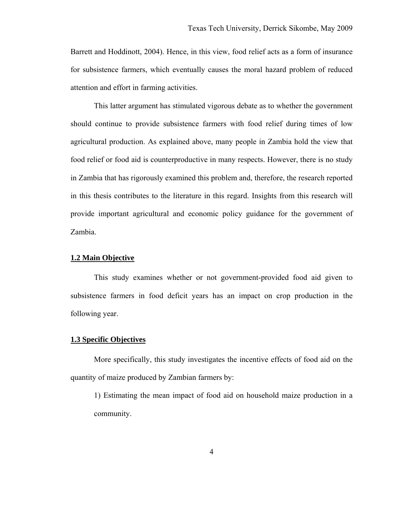<span id="page-14-0"></span>Barrett and Hoddinott, 2004). Hence, in this view, food relief acts as a form of insurance for subsistence farmers, which eventually causes the moral hazard problem of reduced attention and effort in farming activities.

This latter argument has stimulated vigorous debate as to whether the government should continue to provide subsistence farmers with food relief during times of low agricultural production. As explained above, many people in Zambia hold the view that food relief or food aid is counterproductive in many respects. However, there is no study in Zambia that has rigorously examined this problem and, therefore, the research reported in this thesis contributes to the literature in this regard. Insights from this research will provide important agricultural and economic policy guidance for the government of Zambia.

### <span id="page-14-1"></span>**1.2 Main Objective**

This study examines whether or not government-provided food aid given to subsistence farmers in food deficit years has an impact on crop production in the following year.

#### <span id="page-14-2"></span>**1.3 Specific Objectives**

 More specifically, this study investigates the incentive effects of food aid on the quantity of maize produced by Zambian farmers by:

1) Estimating the mean impact of food aid on household maize production in a community.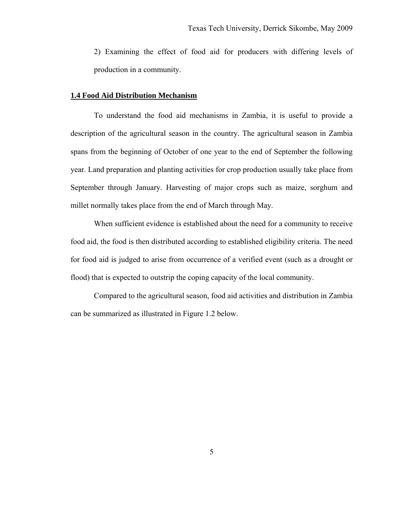<span id="page-15-0"></span>2) Examining the effect of food aid for producers with differing levels of production in a community.

### <span id="page-15-1"></span>**1.4 Food Aid Distribution Mechanism**

To understand the food aid mechanisms in Zambia, it is useful to provide a description of the agricultural season in the country. The agricultural season in Zambia spans from the beginning of October of one year to the end of September the following year. Land preparation and planting activities for crop production usually take place from September through January. Harvesting of major crops such as maize, sorghum and millet normally takes place from the end of March through May.

When sufficient evidence is established about the need for a community to receive food aid, the food is then distributed according to established eligibility criteria. The need for food aid is judged to arise from occurrence of a verified event (such as a drought or flood) that is expected to outstrip the coping capacity of the local community.

Compared to the agricultural season, food aid activities and distribution in Zambia can be summarized as illustrated in Figure 1.2 below.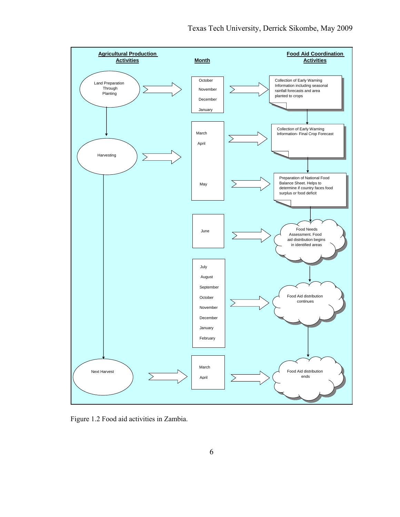

Figure 1.2 Food aid activities in Zambia.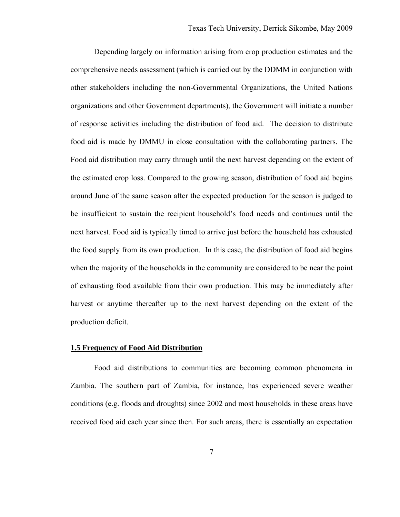<span id="page-17-0"></span>Depending largely on information arising from crop production estimates and the comprehensive needs assessment (which is carried out by the DDMM in conjunction with other stakeholders including the non-Governmental Organizations, the United Nations organizations and other Government departments), the Government will initiate a number of response activities including the distribution of food aid. The decision to distribute food aid is made by DMMU in close consultation with the collaborating partners. The Food aid distribution may carry through until the next harvest depending on the extent of the estimated crop loss. Compared to the growing season, distribution of food aid begins around June of the same season after the expected production for the season is judged to be insufficient to sustain the recipient household's food needs and continues until the next harvest. Food aid is typically timed to arrive just before the household has exhausted the food supply from its own production. In this case, the distribution of food aid begins when the majority of the households in the community are considered to be near the point of exhausting food available from their own production. This may be immediately after harvest or anytime thereafter up to the next harvest depending on the extent of the production deficit.

### <span id="page-17-1"></span>**1.5 Frequency of Food Aid Distribution**

Food aid distributions to communities are becoming common phenomena in Zambia. The southern part of Zambia, for instance, has experienced severe weather conditions (e.g. floods and droughts) since 2002 and most households in these areas have received food aid each year since then. For such areas, there is essentially an expectation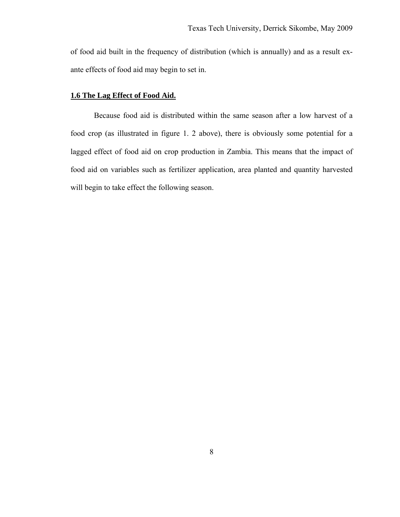<span id="page-18-0"></span>of food aid built in the frequency of distribution (which is annually) and as a result exante effects of food aid may begin to set in.

### <span id="page-18-1"></span>**1.6 The Lag Effect of Food Aid.**

Because food aid is distributed within the same season after a low harvest of a food crop (as illustrated in figure 1. 2 above), there is obviously some potential for a lagged effect of food aid on crop production in Zambia. This means that the impact of food aid on variables such as fertilizer application, area planted and quantity harvested will begin to take effect the following season.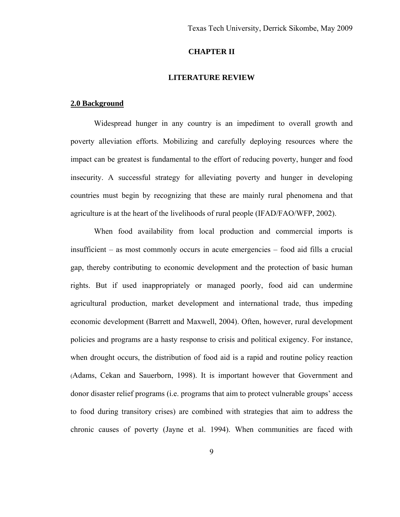### **CHAPTER II**

### **LITERATURE REVIEW**

#### <span id="page-19-2"></span><span id="page-19-1"></span><span id="page-19-0"></span>**2.0 Background**

Widespread hunger in any country is an impediment to overall growth and poverty alleviation efforts. Mobilizing and carefully deploying resources where the impact can be greatest is fundamental to the effort of reducing poverty, hunger and food insecurity. A successful strategy for alleviating poverty and hunger in developing countries must begin by recognizing that these are mainly rural phenomena and that agriculture is at the heart of the livelihoods of rural people (IFAD/FAO/WFP, 2002).

When food availability from local production and commercial imports is insufficient – as most commonly occurs in acute emergencies – food aid fills a crucial gap, thereby contributing to economic development and the protection of basic human rights. But if used inappropriately or managed poorly, food aid can undermine agricultural production, market development and international trade, thus impeding economic development (Barrett and Maxwell, 2004). Often, however, rural development policies and programs are a hasty response to crisis and political exigency. For instance, when drought occurs, the distribution of food aid is a rapid and routine policy reaction (Adams, Cekan and Sauerborn, 1998). It is important however that Government and donor disaster relief programs (i.e. programs that aim to protect vulnerable groups' access to food during transitory crises) are combined with strategies that aim to address the chronic causes of poverty (Jayne et al. 1994). When communities are faced with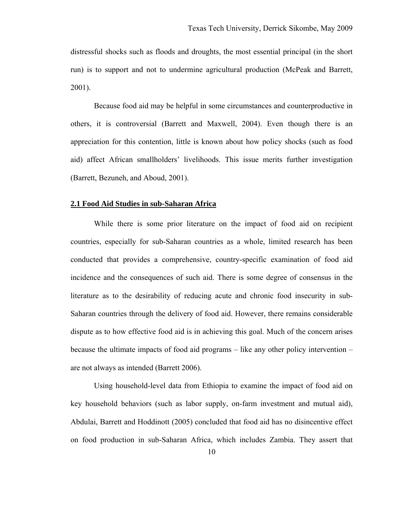<span id="page-20-0"></span>distressful shocks such as floods and droughts, the most essential principal (in the short run) is to support and not to undermine agricultural production (McPeak and Barrett, 2001).

Because food aid may be helpful in some circumstances and counterproductive in others, it is controversial (Barrett and Maxwell, 2004). Even though there is an appreciation for this contention, little is known about how policy shocks (such as food aid) affect African smallholders' livelihoods. This issue merits further investigation (Barrett, Bezuneh, and Aboud, 2001).

#### <span id="page-20-1"></span>**2.1 Food Aid Studies in sub-Saharan Africa**

While there is some prior literature on the impact of food aid on recipient countries, especially for sub-Saharan countries as a whole, limited research has been conducted that provides a comprehensive, country-specific examination of food aid incidence and the consequences of such aid. There is some degree of consensus in the literature as to the desirability of reducing acute and chronic food insecurity in sub-Saharan countries through the delivery of food aid. However, there remains considerable dispute as to how effective food aid is in achieving this goal. Much of the concern arises because the ultimate impacts of food aid programs – like any other policy intervention – are not always as intended (Barrett 2006).

Using household-level data from Ethiopia to examine the impact of food aid on key household behaviors (such as labor supply, on-farm investment and mutual aid), Abdulai, Barrett and Hoddinott (2005) concluded that food aid has no disincentive effect on food production in sub-Saharan Africa, which includes Zambia. They assert that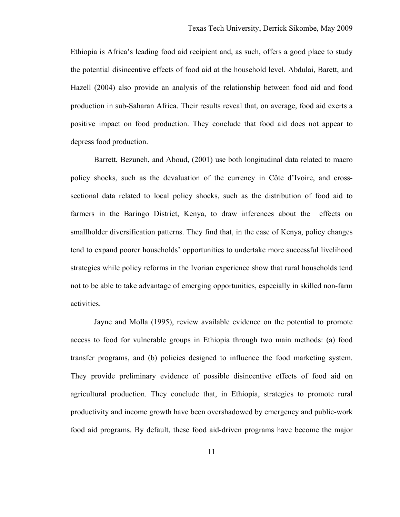Ethiopia is Africa's leading food aid recipient and, as such, offers a good place to study the potential disincentive effects of food aid at the household level. Abdulai, Barett, and Hazell (2004) also provide an analysis of the relationship between food aid and food production in sub-Saharan Africa. Their results reveal that, on average, food aid exerts a positive impact on food production. They conclude that food aid does not appear to depress food production.

Barrett, Bezuneh, and Aboud, (2001) use both longitudinal data related to macro policy shocks, such as the devaluation of the currency in Côte d'Ivoire, and crosssectional data related to local policy shocks, such as the distribution of food aid to farmers in the Baringo District, Kenya, to draw inferences about the effects on smallholder diversification patterns. They find that, in the case of Kenya, policy changes tend to expand poorer households' opportunities to undertake more successful livelihood strategies while policy reforms in the Ivorian experience show that rural households tend not to be able to take advantage of emerging opportunities, especially in skilled non-farm activities.

Jayne and Molla (1995), review available evidence on the potential to promote access to food for vulnerable groups in Ethiopia through two main methods: (a) food transfer programs, and (b) policies designed to influence the food marketing system. They provide preliminary evidence of possible disincentive effects of food aid on agricultural production. They conclude that, in Ethiopia, strategies to promote rural productivity and income growth have been overshadowed by emergency and public-work food aid programs. By default, these food aid-driven programs have become the major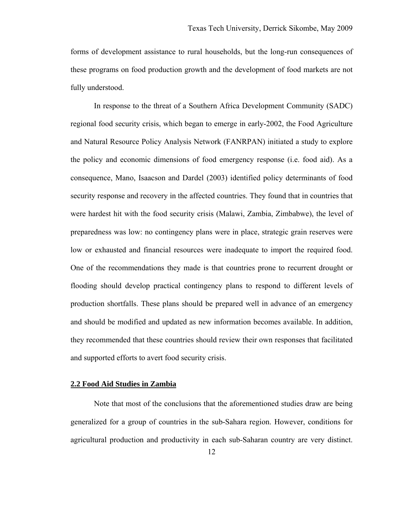<span id="page-22-0"></span>forms of development assistance to rural households, but the long-run consequences of these programs on food production growth and the development of food markets are not fully understood.

In response to the threat of a Southern Africa Development Community (SADC) regional food security crisis, which began to emerge in early-2002, the Food Agriculture and Natural Resource Policy Analysis Network (FANRPAN) initiated a study to explore the policy and economic dimensions of food emergency response (i.e. food aid). As a consequence, Mano, Isaacson and Dardel (2003) identified policy determinants of food security response and recovery in the affected countries. They found that in countries that were hardest hit with the food security crisis (Malawi, Zambia, Zimbabwe), the level of preparedness was low: no contingency plans were in place, strategic grain reserves were low or exhausted and financial resources were inadequate to import the required food. One of the recommendations they made is that countries prone to recurrent drought or flooding should develop practical contingency plans to respond to different levels of production shortfalls. These plans should be prepared well in advance of an emergency and should be modified and updated as new information becomes available. In addition, they recommended that these countries should review their own responses that facilitated and supported efforts to avert food security crisis.

### <span id="page-22-1"></span>**2.2 Food Aid Studies in Zambia**

Note that most of the conclusions that the aforementioned studies draw are being generalized for a group of countries in the sub-Sahara region. However, conditions for agricultural production and productivity in each sub-Saharan country are very distinct.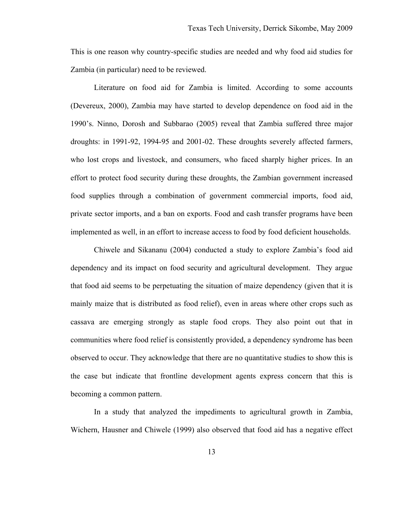This is one reason why country-specific studies are needed and why food aid studies for Zambia (in particular) need to be reviewed.

Literature on food aid for Zambia is limited. According to some accounts (Devereux, 2000), Zambia may have started to develop dependence on food aid in the 1990's. Ninno, Dorosh and Subbarao (2005) reveal that Zambia suffered three major droughts: in 1991-92, 1994-95 and 2001-02. These droughts severely affected farmers, who lost crops and livestock, and consumers, who faced sharply higher prices. In an effort to protect food security during these droughts, the Zambian government increased food supplies through a combination of government commercial imports, food aid, private sector imports, and a ban on exports. Food and cash transfer programs have been implemented as well, in an effort to increase access to food by food deficient households.

Chiwele and Sikananu (2004) conducted a study to explore Zambia's food aid dependency and its impact on food security and agricultural development. They argue that food aid seems to be perpetuating the situation of maize dependency (given that it is mainly maize that is distributed as food relief), even in areas where other crops such as cassava are emerging strongly as staple food crops. They also point out that in communities where food relief is consistently provided, a dependency syndrome has been observed to occur. They acknowledge that there are no quantitative studies to show this is the case but indicate that frontline development agents express concern that this is becoming a common pattern.

In a study that analyzed the impediments to agricultural growth in Zambia, Wichern, Hausner and Chiwele (1999) also observed that food aid has a negative effect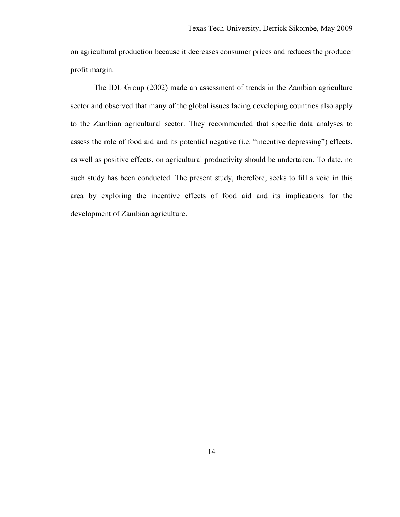on agricultural production because it decreases consumer prices and reduces the producer profit margin.

The IDL Group (2002) made an assessment of trends in the Zambian agriculture sector and observed that many of the global issues facing developing countries also apply to the Zambian agricultural sector. They recommended that specific data analyses to assess the role of food aid and its potential negative (i.e. "incentive depressing") effects, as well as positive effects, on agricultural productivity should be undertaken. To date, no such study has been conducted. The present study, therefore, seeks to fill a void in this area by exploring the incentive effects of food aid and its implications for the development of Zambian agriculture.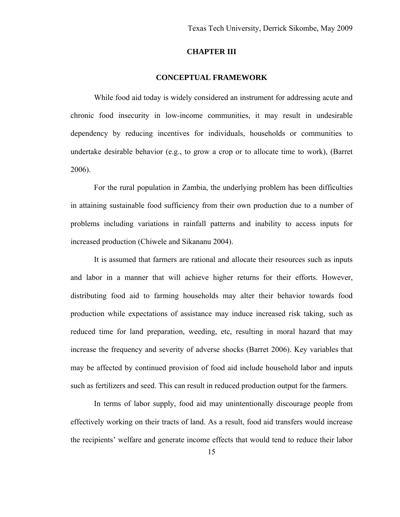### **CHAPTER III**

### **CONCEPTUAL FRAMEWORK**

<span id="page-25-1"></span><span id="page-25-0"></span>While food aid today is widely considered an instrument for addressing acute and chronic food insecurity in low-income communities, it may result in undesirable dependency by reducing incentives for individuals, households or communities to undertake desirable behavior (e.g., to grow a crop or to allocate time to work), (Barret 2006).

For the rural population in Zambia, the underlying problem has been difficulties in attaining sustainable food sufficiency from their own production due to a number of problems including variations in rainfall patterns and inability to access inputs for increased production (Chiwele and Sikananu 2004).

It is assumed that farmers are rational and allocate their resources such as inputs and labor in a manner that will achieve higher returns for their efforts. However, distributing food aid to farming households may alter their behavior towards food production while expectations of assistance may induce increased risk taking, such as reduced time for land preparation, weeding, etc, resulting in moral hazard that may increase the frequency and severity of adverse shocks (Barret 2006). Key variables that may be affected by continued provision of food aid include household labor and inputs such as fertilizers and seed. This can result in reduced production output for the farmers.

In terms of labor supply, food aid may unintentionally discourage people from effectively working on their tracts of land. As a result, food aid transfers would increase the recipients' welfare and generate income effects that would tend to reduce their labor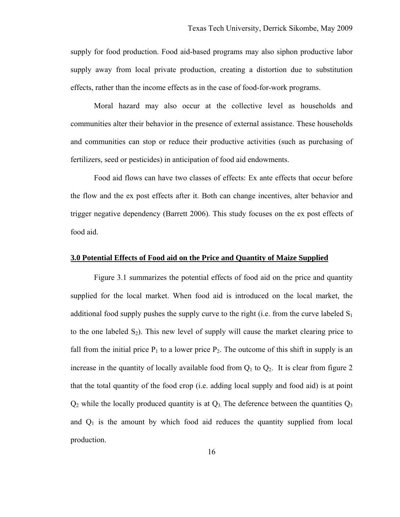<span id="page-26-0"></span>supply for food production. Food aid-based programs may also siphon productive labor supply away from local private production, creating a distortion due to substitution effects, rather than the income effects as in the case of food-for-work programs.

Moral hazard may also occur at the collective level as households and communities alter their behavior in the presence of external assistance. These households and communities can stop or reduce their productive activities (such as purchasing of fertilizers, seed or pesticides) in anticipation of food aid endowments.

Food aid flows can have two classes of effects: Ex ante effects that occur before the flow and the ex post effects after it. Both can change incentives, alter behavior and trigger negative dependency (Barrett 2006). This study focuses on the ex post effects of food aid.

### <span id="page-26-1"></span>**3.0 Potential Effects of Food aid on the Price and Quantity of Maize Supplied**

Figure 3.1 summarizes the potential effects of food aid on the price and quantity supplied for the local market. When food aid is introduced on the local market, the additional food supply pushes the supply curve to the right (i.e. from the curve labeled  $S_1$ ) to the one labeled  $S_2$ ). This new level of supply will cause the market clearing price to fall from the initial price  $P_1$  to a lower price  $P_2$ . The outcome of this shift in supply is an increase in the quantity of locally available food from  $Q_1$  to  $Q_2$ . It is clear from figure 2 that the total quantity of the food crop (i.e. adding local supply and food aid) is at point  $Q_2$  while the locally produced quantity is at  $Q_3$ . The deference between the quantities  $Q_3$ and  $Q_1$  is the amount by which food aid reduces the quantity supplied from local production.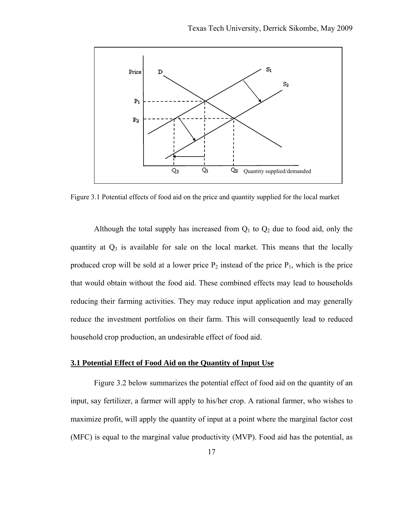<span id="page-27-0"></span>

Figure 3.1 Potential effects of food aid on the price and quantity supplied for the local market

Although the total supply has increased from  $Q_1$  to  $Q_2$  due to food aid, only the quantity at  $Q_3$  is available for sale on the local market. This means that the locally produced crop will be sold at a lower price  $P_2$  instead of the price  $P_1$ , which is the price that would obtain without the food aid. These combined effects may lead to households reducing their farming activities. They may reduce input application and may generally reduce the investment portfolios on their farm. This will consequently lead to reduced household crop production, an undesirable effect of food aid.

### <span id="page-27-1"></span>**3.1 Potential Effect of Food Aid on the Quantity of Input Use**

Figure 3.2 below summarizes the potential effect of food aid on the quantity of an input, say fertilizer, a farmer will apply to his/her crop. A rational farmer, who wishes to maximize profit, will apply the quantity of input at a point where the marginal factor cost (MFC) is equal to the marginal value productivity (MVP). Food aid has the potential, as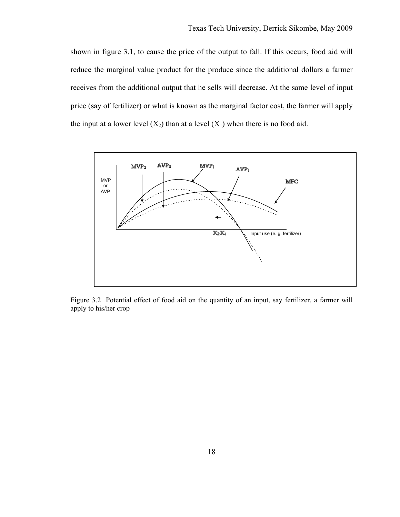shown in figure 3.1, to cause the price of the output to fall. If this occurs, food aid will reduce the marginal value product for the produce since the additional dollars a farmer receives from the additional output that he sells will decrease. At the same level of input price (say of fertilizer) or what is known as the marginal factor cost, the farmer will apply the input at a lower level  $(X_2)$  than at a level  $(X_1)$  when there is no food aid.



Figure 3.2 Potential effect of food aid on the quantity of an input, say fertilizer, a farmer will apply to his/her crop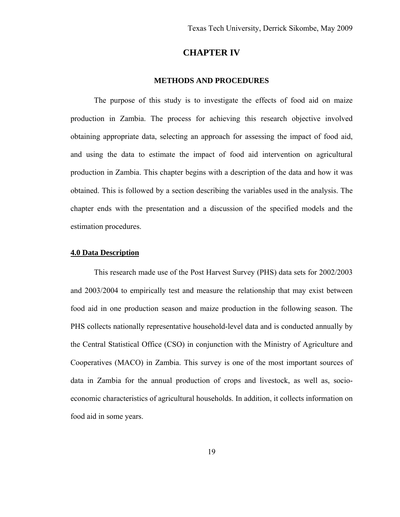### **CHAPTER IV**

### **METHODS AND PROCEDURES**

<span id="page-29-1"></span><span id="page-29-0"></span>The purpose of this study is to investigate the effects of food aid on maize production in Zambia. The process for achieving this research objective involved obtaining appropriate data, selecting an approach for assessing the impact of food aid, and using the data to estimate the impact of food aid intervention on agricultural production in Zambia. This chapter begins with a description of the data and how it was obtained. This is followed by a section describing the variables used in the analysis. The chapter ends with the presentation and a discussion of the specified models and the estimation procedures.

### <span id="page-29-2"></span>**4.0 Data Description**

This research made use of the Post Harvest Survey (PHS) data sets for 2002/2003 and 2003/2004 to empirically test and measure the relationship that may exist between food aid in one production season and maize production in the following season. The PHS collects nationally representative household-level data and is conducted annually by the Central Statistical Office (CSO) in conjunction with the Ministry of Agriculture and Cooperatives (MACO) in Zambia. This survey is one of the most important sources of data in Zambia for the annual production of crops and livestock, as well as, socioeconomic characteristics of agricultural households. In addition, it collects information on food aid in some years.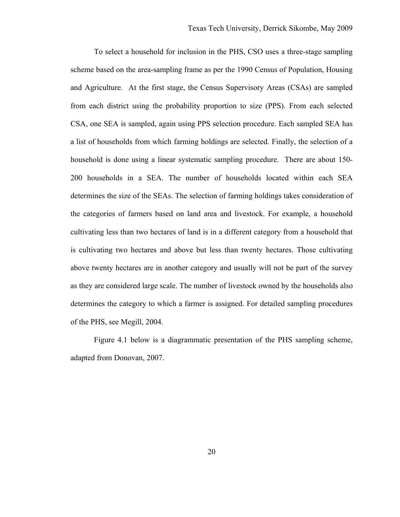To select a household for inclusion in the PHS, CSO uses a three-stage sampling scheme based on the area-sampling frame as per the 1990 Census of Population, Housing and Agriculture. At the first stage, the Census Supervisory Areas (CSAs) are sampled from each district using the probability proportion to size (PPS). From each selected CSA, one SEA is sampled, again using PPS selection procedure. Each sampled SEA has a list of households from which farming holdings are selected. Finally, the selection of a household is done using a linear systematic sampling procedure. There are about 150- 200 households in a SEA. The number of households located within each SEA determines the size of the SEAs. The selection of farming holdings takes consideration of the categories of farmers based on land area and livestock. For example, a household cultivating less than two hectares of land is in a different category from a household that is cultivating two hectares and above but less than twenty hectares. Those cultivating above twenty hectares are in another category and usually will not be part of the survey as they are considered large scale. The number of livestock owned by the households also determines the category to which a farmer is assigned. For detailed sampling procedures of the PHS, see Megill, 2004.

Figure 4.1 below is a diagrammatic presentation of the PHS sampling scheme, adapted from Donovan, 2007.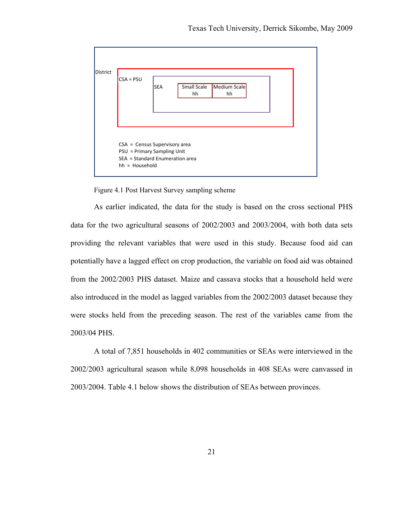

Figure 4.1 Post Harvest Survey sampling scheme

As earlier indicated, the data for the study is based on the cross sectional PHS data for the two agricultural seasons of 2002/2003 and 2003/2004, with both data sets providing the relevant variables that were used in this study. Because food aid can potentially have a lagged effect on crop production, the variable on food aid was obtained from the 2002/2003 PHS dataset. Maize and cassava stocks that a household held were also introduced in the model as lagged variables from the 2002/2003 dataset because they were stocks held from the preceding season. The rest of the variables came from the 2003/04 PHS.

A total of 7,851 households in 402 communities or SEAs were interviewed in the 2002/2003 agricultural season while 8,098 households in 408 SEAs were canvassed in 2003/2004. Table 4.1 below shows the distribution of SEAs between provinces.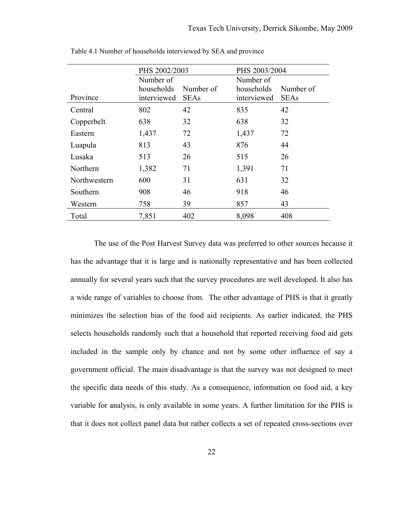|              | PHS 2002/2003 |             | PHS 2003/2004 |             |
|--------------|---------------|-------------|---------------|-------------|
|              | Number of     |             | Number of     |             |
|              | households    | Number of   | households    | Number of   |
| Province     | interviewed   | <b>SEAs</b> | interviewed   | <b>SEAs</b> |
| Central      | 802           | 42          | 835           | 42          |
| Copperbelt   | 638           | 32          | 638           | 32          |
| Eastern      | 1,437         | 72          | 1,437         | 72          |
| Luapula      | 813           | 43          | 876           | 44          |
| Lusaka       | 513           | 26          | 515           | 26          |
| Northern     | 1,382         | 71          | 1,391         | 71          |
| Northwestern | 600           | 31          | 631           | 32          |
| Southern     | 908           | 46          | 918           | 46          |
| Western      | 758           | 39          | 857           | 43          |
| Total        | 7,851         | 402         | 8,098         | 408         |

Table 4.1 Number of households interviewed by SEA and province

The use of the Post Harvest Survey data was preferred to other sources because it has the advantage that it is large and is nationally representative and has been collected annually for several years such that the survey procedures are well developed. It also has a wide range of variables to choose from. The other advantage of PHS is that it greatly minimizes the selection bias of the food aid recipients. As earlier indicated, the PHS selects households randomly such that a household that reported receiving food aid gets included in the sample only by chance and not by some other influence of say a government official. The main disadvantage is that the survey was not designed to meet the specific data needs of this study. As a consequence, information on food aid, a key variable for analysis, is only available in some years. A further limitation for the PHS is that it does not collect panel data but rather collects a set of repeated cross-sections over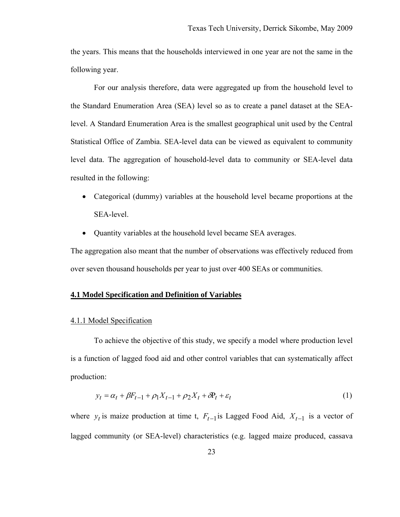<span id="page-33-0"></span>the years. This means that the households interviewed in one year are not the same in the following year.

For our analysis therefore, data were aggregated up from the household level to the Standard Enumeration Area (SEA) level so as to create a panel dataset at the SEAlevel. A Standard Enumeration Area is the smallest geographical unit used by the Central Statistical Office of Zambia. SEA-level data can be viewed as equivalent to community level data. The aggregation of household-level data to community or SEA-level data resulted in the following:

- Categorical (dummy) variables at the household level became proportions at the SEA-level.
- Quantity variables at the household level became SEA averages.

The aggregation also meant that the number of observations was effectively reduced from over seven thousand households per year to just over 400 SEAs or communities.

### <span id="page-33-1"></span>**4.1 Model Specification and Definition of Variables**

#### <span id="page-33-2"></span>4.1.1 Model Specification

To achieve the objective of this study, we specify a model where production level is a function of lagged food aid and other control variables that can systematically affect production:

$$
y_t = \alpha_t + \beta F_{t-1} + \rho_1 X_{t-1} + \rho_2 X_t + \delta P_t + \varepsilon_t
$$
\n<sup>(1)</sup>

where  $y_t$  is maize production at time t,  $F_{t-1}$  is Lagged Food Aid,  $X_{t-1}$  is a vector of lagged community (or SEA-level) characteristics (e.g. lagged maize produced, cassava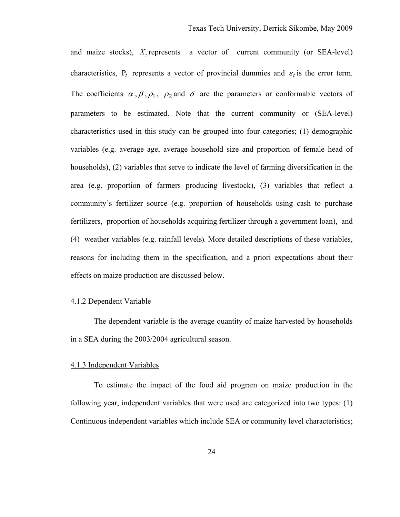<span id="page-34-0"></span>and maize stocks), *X*, represents a vector of current community (or SEA-level) characteristics,  $P_t$  represents a vector of provincial dummies and  $\varepsilon_t$  is the error term. The coefficients  $\alpha$ ,  $\beta$ ,  $\rho_1$ ,  $\rho_2$  and  $\delta$  are the parameters or conformable vectors of parameters to be estimated. Note that the current community or (SEA-level) characteristics used in this study can be grouped into four categories; (1) demographic variables (e.g. average age, average household size and proportion of female head of households), (2) variables that serve to indicate the level of farming diversification in the area (e.g. proportion of farmers producing livestock), (3) variables that reflect a community's fertilizer source (e.g. proportion of households using cash to purchase fertilizers, proportion of households acquiring fertilizer through a government loan), and (4) weather variables (e.g. rainfall levels). More detailed descriptions of these variables, reasons for including them in the specification, and a priori expectations about their effects on maize production are discussed below.

### <span id="page-34-1"></span>4.1.2 Dependent Variable

The dependent variable is the average quantity of maize harvested by households in a SEA during the 2003/2004 agricultural season.

### <span id="page-34-2"></span>4.1.3 Independent Variables

To estimate the impact of the food aid program on maize production in the following year, independent variables that were used are categorized into two types: (1) Continuous independent variables which include SEA or community level characteristics;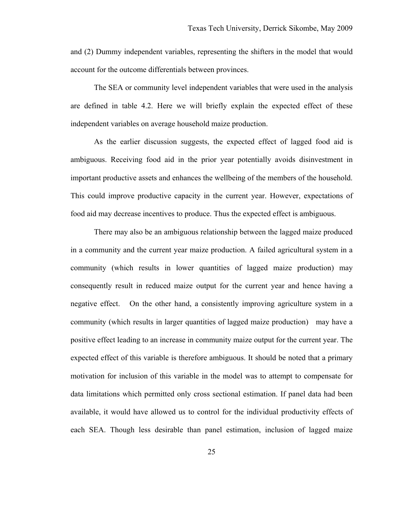and (2) Dummy independent variables, representing the shifters in the model that would account for the outcome differentials between provinces.

The SEA or community level independent variables that were used in the analysis are defined in table 4.2. Here we will briefly explain the expected effect of these independent variables on average household maize production.

As the earlier discussion suggests, the expected effect of lagged food aid is ambiguous. Receiving food aid in the prior year potentially avoids disinvestment in important productive assets and enhances the wellbeing of the members of the household. This could improve productive capacity in the current year. However, expectations of food aid may decrease incentives to produce. Thus the expected effect is ambiguous.

There may also be an ambiguous relationship between the lagged maize produced in a community and the current year maize production. A failed agricultural system in a community (which results in lower quantities of lagged maize production) may consequently result in reduced maize output for the current year and hence having a negative effect. On the other hand, a consistently improving agriculture system in a community (which results in larger quantities of lagged maize production) may have a positive effect leading to an increase in community maize output for the current year. The expected effect of this variable is therefore ambiguous. It should be noted that a primary motivation for inclusion of this variable in the model was to attempt to compensate for data limitations which permitted only cross sectional estimation. If panel data had been available, it would have allowed us to control for the individual productivity effects of each SEA. Though less desirable than panel estimation, inclusion of lagged maize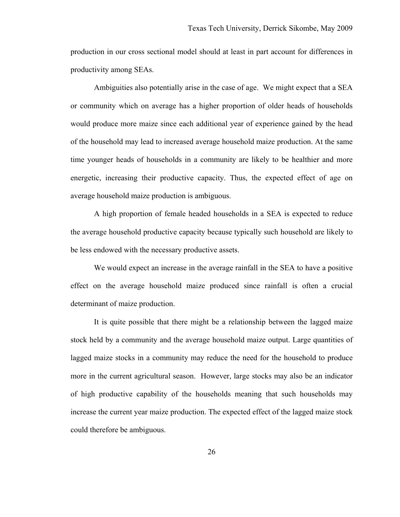production in our cross sectional model should at least in part account for differences in productivity among SEAs.

Ambiguities also potentially arise in the case of age. We might expect that a SEA or community which on average has a higher proportion of older heads of households would produce more maize since each additional year of experience gained by the head of the household may lead to increased average household maize production. At the same time younger heads of households in a community are likely to be healthier and more energetic, increasing their productive capacity. Thus, the expected effect of age on average household maize production is ambiguous.

A high proportion of female headed households in a SEA is expected to reduce the average household productive capacity because typically such household are likely to be less endowed with the necessary productive assets.

We would expect an increase in the average rainfall in the SEA to have a positive effect on the average household maize produced since rainfall is often a crucial determinant of maize production.

It is quite possible that there might be a relationship between the lagged maize stock held by a community and the average household maize output. Large quantities of lagged maize stocks in a community may reduce the need for the household to produce more in the current agricultural season. However, large stocks may also be an indicator of high productive capability of the households meaning that such households may increase the current year maize production. The expected effect of the lagged maize stock could therefore be ambiguous.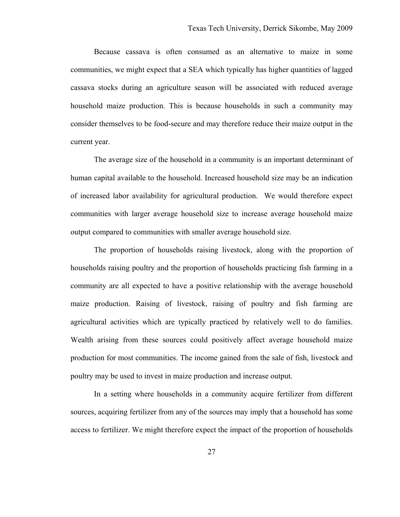Because cassava is often consumed as an alternative to maize in some communities, we might expect that a SEA which typically has higher quantities of lagged cassava stocks during an agriculture season will be associated with reduced average household maize production. This is because households in such a community may consider themselves to be food-secure and may therefore reduce their maize output in the current year.

The average size of the household in a community is an important determinant of human capital available to the household. Increased household size may be an indication of increased labor availability for agricultural production. We would therefore expect communities with larger average household size to increase average household maize output compared to communities with smaller average household size.

The proportion of households raising livestock, along with the proportion of households raising poultry and the proportion of households practicing fish farming in a community are all expected to have a positive relationship with the average household maize production. Raising of livestock, raising of poultry and fish farming are agricultural activities which are typically practiced by relatively well to do families. Wealth arising from these sources could positively affect average household maize production for most communities. The income gained from the sale of fish, livestock and poultry may be used to invest in maize production and increase output.

In a setting where households in a community acquire fertilizer from different sources, acquiring fertilizer from any of the sources may imply that a household has some access to fertilizer. We might therefore expect the impact of the proportion of households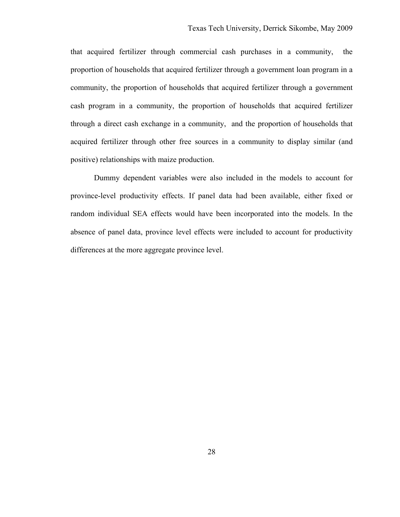that acquired fertilizer through commercial cash purchases in a community, the proportion of households that acquired fertilizer through a government loan program in a community, the proportion of households that acquired fertilizer through a government cash program in a community, the proportion of households that acquired fertilizer through a direct cash exchange in a community, and the proportion of households that acquired fertilizer through other free sources in a community to display similar (and positive) relationships with maize production.

Dummy dependent variables were also included in the models to account for province-level productivity effects. If panel data had been available, either fixed or random individual SEA effects would have been incorporated into the models. In the absence of panel data, province level effects were included to account for productivity differences at the more aggregate province level.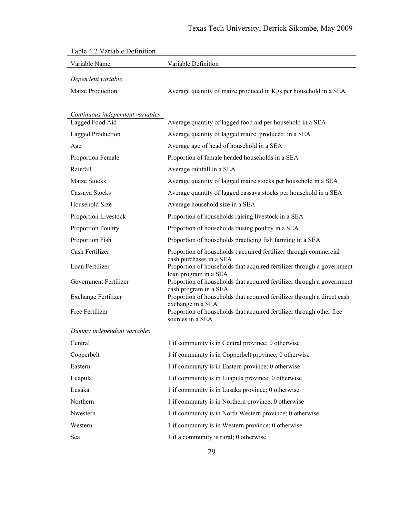| radie 4.2 variable Definition    |                                                                                                  |
|----------------------------------|--------------------------------------------------------------------------------------------------|
| Variable Name                    | Variable Definition                                                                              |
| Dependent variable               |                                                                                                  |
| <b>Maize Production</b>          | Average quantity of maize produced in Kgs per household in a SEA                                 |
|                                  |                                                                                                  |
| Continuous independent variables |                                                                                                  |
| Lagged Food Aid                  | Average quantity of lagged food aid per household in a SEA                                       |
| Lagged Production                | Average quantity of lagged maize produced in a SEA                                               |
| Age                              | Average age of head of household in a SEA                                                        |
| Proportion Female                | Proportion of female headed households in a SEA                                                  |
| Rainfall                         | Average rainfall in a SEA                                                                        |
| Maize Stocks                     | Average quantity of lagged maize stocks per household in a SEA                                   |
| Cassava Stocks                   | Average quantity of lagged cassava stocks per household in a SEA                                 |
| Household Size                   | Average household size in a SEA                                                                  |
| Proportion Livestock             | Proportion of households raising livestock in a SEA                                              |
| Proportion Poultry               | Proportion of households raising poultry in a SEA                                                |
| Proportion Fish                  | Proportion of households practicing fish farming in a SEA                                        |
| Cash Fertilizer                  | Proportion of households t acquired fertilizer through commercial<br>cash purchases in a SEA     |
| Loan Fertilizer                  | Proportion of households that acquired fertilizer through a government                           |
| Government Fertilizer            | loan program in a SEA<br>Proportion of households that acquired fertilizer through a government  |
| <b>Exchange Fertilizer</b>       | cash program in a SEA<br>Proportion of households that acquired fertilizer through a direct cash |
| Free Fertilizer                  | exchange in a SEA<br>Proportion of households that acquired fertilizer through other free        |
|                                  | sources in a SEA                                                                                 |
| Dummy independent variables      |                                                                                                  |
| Central                          | 1 if community is in Central province; 0 otherwise                                               |
| Copperbelt                       | 1 if community is in Copperbelt province; 0 otherwise                                            |
| Eastern                          | 1 if community is in Eastern province; 0 otherwise                                               |
| Luapula                          | 1 if community is in Luapula province; 0 otherwise                                               |
| Lusaka                           | 1 if community is in Lusaka province; 0 otherwise                                                |
| Northern                         | 1 if community is in Northern province; 0 otherwise                                              |
| Nwestern                         | 1 if community is in North Western province; 0 otherwise                                         |
| Western                          | 1 if community is in Western province; 0 otherwise                                               |
| Sea                              | 1 if a community is rural; 0 otherwise                                                           |

# Table 4.2 Variable Definition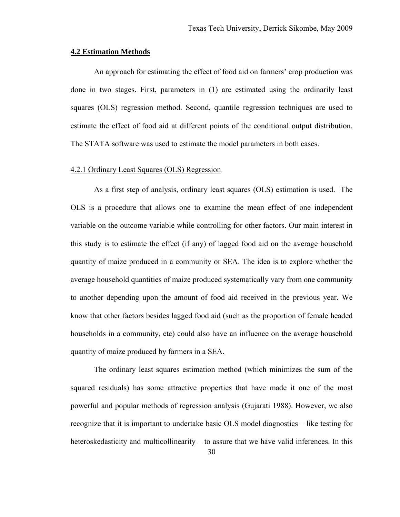#### **4.2 Estimation Methods**

An approach for estimating the effect of food aid on farmers' crop production was done in two stages. First, parameters in (1) are estimated using the ordinarily least squares (OLS) regression method. Second, quantile regression techniques are used to estimate the effect of food aid at different points of the conditional output distribution. The STATA software was used to estimate the model parameters in both cases.

## 4.2.1 Ordinary Least Squares (OLS) Regression

As a first step of analysis, ordinary least squares (OLS) estimation is used. The OLS is a procedure that allows one to examine the mean effect of one independent variable on the outcome variable while controlling for other factors. Our main interest in this study is to estimate the effect (if any) of lagged food aid on the average household quantity of maize produced in a community or SEA. The idea is to explore whether the average household quantities of maize produced systematically vary from one community to another depending upon the amount of food aid received in the previous year. We know that other factors besides lagged food aid (such as the proportion of female headed households in a community, etc) could also have an influence on the average household quantity of maize produced by farmers in a SEA.

 The ordinary least squares estimation method (which minimizes the sum of the squared residuals) has some attractive properties that have made it one of the most powerful and popular methods of regression analysis (Gujarati 1988). However, we also recognize that it is important to undertake basic OLS model diagnostics – like testing for heteroskedasticity and multicollinearity – to assure that we have valid inferences. In this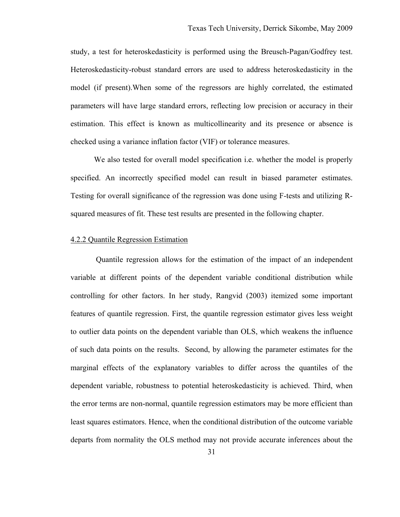study, a test for heteroskedasticity is performed using the Breusch-Pagan/Godfrey test. Heteroskedasticity-robust standard errors are used to address heteroskedasticity in the model (if present).When some of the regressors are highly correlated, the estimated parameters will have large standard errors, reflecting low precision or accuracy in their estimation. This effect is known as multicollinearity and its presence or absence is checked using a variance inflation factor (VIF) or tolerance measures.

 We also tested for overall model specification i.e. whether the model is properly specified. An incorrectly specified model can result in biased parameter estimates. Testing for overall significance of the regression was done using F-tests and utilizing Rsquared measures of fit. These test results are presented in the following chapter.

#### 4.2.2 Quantile Regression Estimation

 Quantile regression allows for the estimation of the impact of an independent variable at different points of the dependent variable conditional distribution while controlling for other factors. In her study, Rangvid (2003) itemized some important features of quantile regression. First, the quantile regression estimator gives less weight to outlier data points on the dependent variable than OLS, which weakens the influence of such data points on the results. Second, by allowing the parameter estimates for the marginal effects of the explanatory variables to differ across the quantiles of the dependent variable, robustness to potential heteroskedasticity is achieved. Third, when the error terms are non-normal, quantile regression estimators may be more efficient than least squares estimators. Hence, when the conditional distribution of the outcome variable departs from normality the OLS method may not provide accurate inferences about the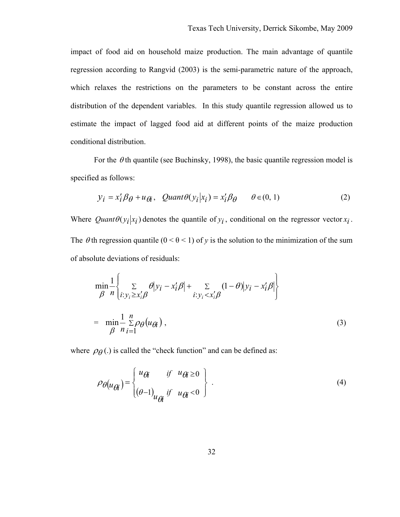impact of food aid on household maize production. The main advantage of quantile regression according to Rangvid (2003) is the semi-parametric nature of the approach, which relaxes the restrictions on the parameters to be constant across the entire distribution of the dependent variables. In this study quantile regression allowed us to estimate the impact of lagged food aid at different points of the maize production conditional distribution.

For the  $\theta$ th quantile (see Buchinsky, 1998), the basic quantile regression model is specified as follows:

$$
y_i = x_i' \beta_\theta + u_{\theta i}, \quad \text{Quant} \theta(y_i | x_i) = x_i' \beta_\theta \qquad \theta \in (0, 1)
$$
 (2)

Where  $Quant\theta(y_i|x_i)$  denotes the quantile of  $y_i$ , conditional on the regressor vector  $x_i$ . The  $\theta$ th regression quantile ( $0 < \theta < 1$ ) of *y* is the solution to the minimization of the sum of absolute deviations of residuals:

$$
\min_{\beta} \frac{1}{n} \left\{ \sum_{i: y_i \ge x'_i \beta} \theta |y_i - x'_i \beta| + \sum_{i: y_i < x'_i \beta} (1 - \theta) |y_i - x'_i \beta| \right\}
$$
\n
$$
= \min_{\beta} \frac{1}{n} \sum_{i=1}^n \rho_{\theta}(u_{\beta i}), \tag{3}
$$

where  $\rho_{\theta}$  (.) is called the "check function" and can be defined as:

$$
\rho_{\theta}(u_{\theta i}) = \begin{cases} u_{\theta i} & \text{if } u_{\theta i \ge 0} \\ (\theta - 1)_{u_{\theta i}} & \text{if } u_{\theta i < 0} \end{cases} \tag{4}
$$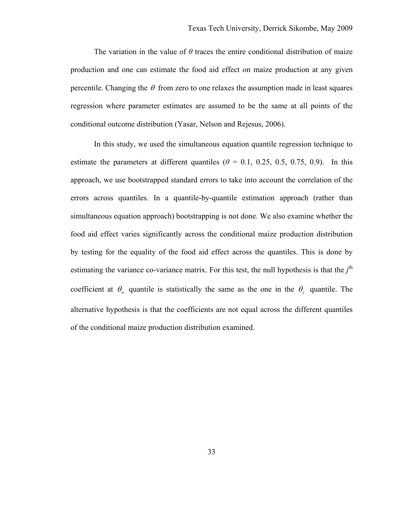The variation in the value of  $\theta$  traces the entire conditional distribution of maize production and one can estimate the food aid effect on maize production at any given percentile. Changing the  $\theta$  from zero to one relaxes the assumption made in least squares regression where parameter estimates are assumed to be the same at all points of the conditional outcome distribution (Yasar, Nelson and Rejesus, 2006).

In this study, we used the simultaneous equation quantile regression technique to estimate the parameters at different quantiles  $(\theta = 0.1, 0.25, 0.5, 0.75, 0.9)$ . In this approach, we use bootstrapped standard errors to take into account the correlation of the errors across quantiles. In a quantile-by-quantile estimation approach (rather than simultaneous equation approach) bootstrapping is not done. We also examine whether the food aid effect varies significantly across the conditional maize production distribution by testing for the equality of the food aid effect across the quantiles. This is done by estimating the variance co-variance matrix. For this test, the null hypothesis is that the  $j<sup>th</sup>$ coefficient at  $\theta_{\nu}$  quantile is statistically the same as the one in the  $\theta_{\nu}$  quantile. The alternative hypothesis is that the coefficients are not equal across the different quantiles of the conditional maize production distribution examined.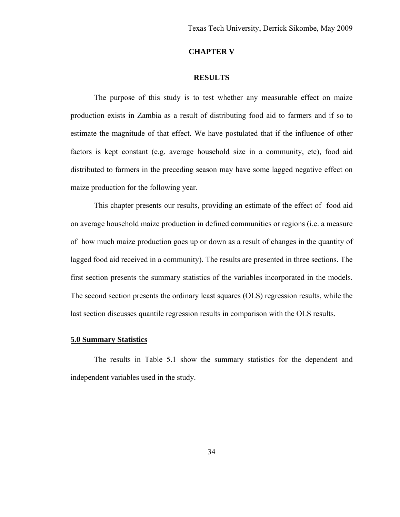## **CHAPTER V**

### **RESULTS**

The purpose of this study is to test whether any measurable effect on maize production exists in Zambia as a result of distributing food aid to farmers and if so to estimate the magnitude of that effect. We have postulated that if the influence of other factors is kept constant (e.g. average household size in a community, etc), food aid distributed to farmers in the preceding season may have some lagged negative effect on maize production for the following year.

This chapter presents our results, providing an estimate of the effect of food aid on average household maize production in defined communities or regions (i.e. a measure of how much maize production goes up or down as a result of changes in the quantity of lagged food aid received in a community). The results are presented in three sections. The first section presents the summary statistics of the variables incorporated in the models. The second section presents the ordinary least squares (OLS) regression results, while the last section discusses quantile regression results in comparison with the OLS results.

#### **5.0 Summary Statistics**

The results in Table 5.1 show the summary statistics for the dependent and independent variables used in the study.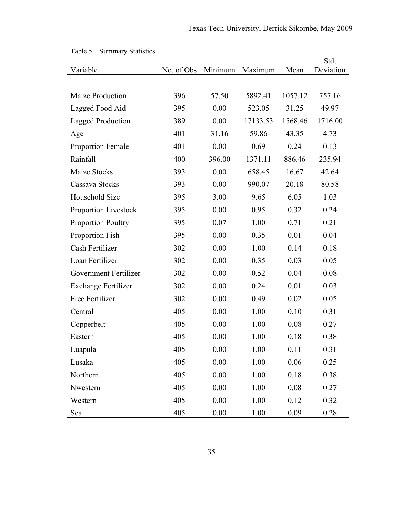| raoig 9.1 Suimmary Statistics<br>Variable | No. of Obs | Minimum  | Maximum  | Mean    | Std.<br>Deviation |
|-------------------------------------------|------------|----------|----------|---------|-------------------|
|                                           |            |          |          |         |                   |
| <b>Maize Production</b>                   | 396        | 57.50    | 5892.41  | 1057.12 | 757.16            |
| Lagged Food Aid                           | 395        | 0.00     | 523.05   | 31.25   | 49.97             |
| <b>Lagged Production</b>                  | 389        | 0.00     | 17133.53 | 1568.46 | 1716.00           |
| Age                                       | 401        | 31.16    | 59.86    | 43.35   | 4.73              |
| <b>Proportion Female</b>                  | 401        | 0.00     | 0.69     | 0.24    | 0.13              |
| Rainfall                                  | 400        | 396.00   | 1371.11  | 886.46  | 235.94            |
| Maize Stocks                              | 393        | 0.00     | 658.45   | 16.67   | 42.64             |
| Cassava Stocks                            | 393        | 0.00     | 990.07   | 20.18   | 80.58             |
| Household Size                            | 395        | 3.00     | 9.65     | 6.05    | 1.03              |
| <b>Proportion Livestock</b>               | 395        | 0.00     | 0.95     | 0.32    | 0.24              |
| <b>Proportion Poultry</b>                 | 395        | 0.07     | 1.00     | 0.71    | 0.21              |
| Proportion Fish                           | 395        | 0.00     | 0.35     | 0.01    | 0.04              |
| Cash Fertilizer                           | 302        | 0.00     | 1.00     | 0.14    | 0.18              |
| Loan Fertilizer                           | 302        | 0.00     | 0.35     | 0.03    | 0.05              |
| Government Fertilizer                     | 302        | 0.00     | 0.52     | 0.04    | 0.08              |
| <b>Exchange Fertilizer</b>                | 302        | 0.00     | 0.24     | 0.01    | 0.03              |
| Free Fertilizer                           | 302        | 0.00     | 0.49     | 0.02    | 0.05              |
| Central                                   | 405        | 0.00     | 1.00     | 0.10    | 0.31              |
| Copperbelt                                | 405        | 0.00     | 1.00     | 0.08    | 0.27              |
| Eastern                                   | 405        | 0.00     | 1.00     | 0.18    | 0.38              |
| Luapula                                   | 405        | 0.00     | 1.00     | 0.11    | 0.31              |
| Lusaka                                    | 405        | 0.00     | 1.00     | 0.06    | 0.25              |
| Northern                                  | 405        | 0.00     | 1.00     | 0.18    | 0.38              |
| Nwestern                                  | 405        | 0.00     | 1.00     | 0.08    | 0.27              |
| Western                                   | 405        | 0.00     | 1.00     | 0.12    | 0.32              |
| Sea                                       | 405        | $0.00\,$ | 1.00     | 0.09    | 0.28              |

|  | Table 5.1 Summary Statistics |  |
|--|------------------------------|--|
|--|------------------------------|--|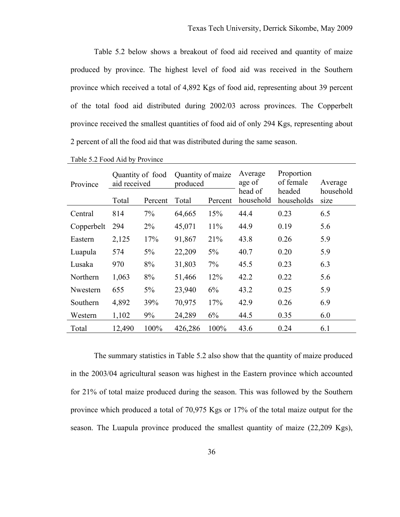Table 5.2 below shows a breakout of food aid received and quantity of maize produced by province. The highest level of food aid was received in the Southern province which received a total of 4,892 Kgs of food aid, representing about 39 percent of the total food aid distributed during 2002/03 across provinces. The Copperbelt province received the smallest quantities of food aid of only 294 Kgs, representing about 2 percent of all the food aid that was distributed during the same season.

| Province   | Quantity of food<br>aid received |         | Quantity of maize<br>produced |         | Average<br>age of    | Proportion<br>of female<br>headed | Average           |
|------------|----------------------------------|---------|-------------------------------|---------|----------------------|-----------------------------------|-------------------|
|            | Total                            | Percent | Total                         | Percent | head of<br>household | households                        | household<br>size |
| Central    | 814                              | 7%      | 64,665                        | 15%     | 44.4                 | 0.23                              | 6.5               |
| Copperbelt | 294                              | $2\%$   | 45,071                        | 11%     | 44.9                 | 0.19                              | 5.6               |
| Eastern    | 2,125                            | 17%     | 91,867                        | 21%     | 43.8                 | 0.26                              | 5.9               |
| Luapula    | 574                              | $5\%$   | 22,209                        | $5\%$   | 40.7                 | 0.20                              | 5.9               |
| Lusaka     | 970                              | 8%      | 31,803                        | 7%      | 45.5                 | 0.23                              | 6.3               |
| Northern   | 1,063                            | 8%      | 51,466                        | 12%     | 42.2                 | 0.22                              | 5.6               |
| Nwestern   | 655                              | $5\%$   | 23,940                        | 6%      | 43.2                 | 0.25                              | 5.9               |
| Southern   | 4,892                            | 39%     | 70,975                        | 17%     | 42.9                 | 0.26                              | 6.9               |
| Western    | 1,102                            | 9%      | 24,289                        | 6%      | 44.5                 | 0.35                              | 6.0               |
| Total      | 12,490                           | 100%    | 426,286                       | 100%    | 43.6                 | 0.24                              | 6.1               |

Table 5.2 Food Aid by Province

The summary statistics in Table 5.2 also show that the quantity of maize produced in the 2003/04 agricultural season was highest in the Eastern province which accounted for 21% of total maize produced during the season. This was followed by the Southern province which produced a total of 70,975 Kgs or 17% of the total maize output for the season. The Luapula province produced the smallest quantity of maize (22,209 Kgs),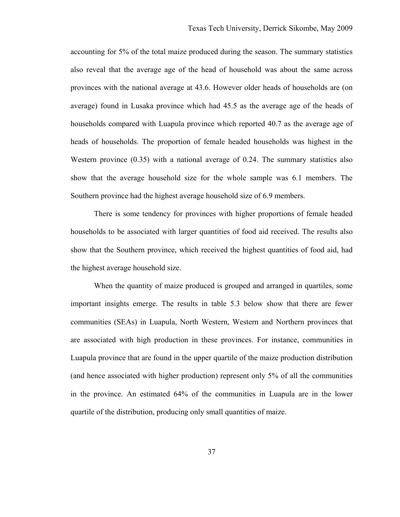accounting for 5% of the total maize produced during the season. The summary statistics also reveal that the average age of the head of household was about the same across provinces with the national average at 43.6. However older heads of households are (on average) found in Lusaka province which had 45.5 as the average age of the heads of households compared with Luapula province which reported 40.7 as the average age of heads of households. The proportion of female headed households was highest in the Western province (0.35) with a national average of 0.24. The summary statistics also show that the average household size for the whole sample was 6.1 members. The Southern province had the highest average household size of 6.9 members.

There is some tendency for provinces with higher proportions of female headed households to be associated with larger quantities of food aid received. The results also show that the Southern province, which received the highest quantities of food aid, had the highest average household size.

When the quantity of maize produced is grouped and arranged in quartiles, some important insights emerge. The results in table 5.3 below show that there are fewer communities (SEAs) in Luapula, North Western, Western and Northern provinces that are associated with high production in these provinces. For instance, communities in Luapula province that are found in the upper quartile of the maize production distribution (and hence associated with higher production) represent only 5% of all the communities in the province. An estimated 64% of the communities in Luapula are in the lower quartile of the distribution, producing only small quantities of maize.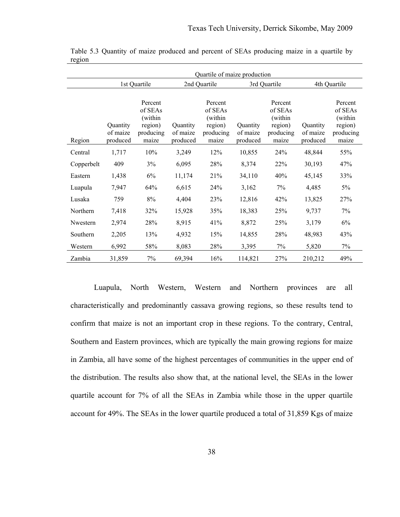|            | Quartile of maize production     |                                                                |                                  |                                                                |                                  |                                                                |                                  |                                                                |  |
|------------|----------------------------------|----------------------------------------------------------------|----------------------------------|----------------------------------------------------------------|----------------------------------|----------------------------------------------------------------|----------------------------------|----------------------------------------------------------------|--|
|            |                                  | 1st Quartile                                                   |                                  | 2nd Quartile                                                   |                                  | 3rd Quartile                                                   | 4th Quartile                     |                                                                |  |
| Region     | Quantity<br>of maize<br>produced | Percent<br>of SEAs<br>(within<br>region)<br>producing<br>maize | Quantity<br>of maize<br>produced | Percent<br>of SEAs<br>(within<br>region)<br>producing<br>maize | Quantity<br>of maize<br>produced | Percent<br>of SEAs<br>(within<br>region)<br>producing<br>maize | Quantity<br>of maize<br>produced | Percent<br>of SEAs<br>(within<br>region)<br>producing<br>maize |  |
| Central    | 1,717                            | 10%                                                            | 3,249                            | 12%                                                            | 10,855                           | 24%                                                            | 48,844                           | 55%                                                            |  |
| Copperbelt | 409                              | 3%                                                             | 6,095                            | 28%                                                            | 8,374                            | 22%                                                            | 30,193                           | 47%                                                            |  |
| Eastern    | 1,438                            | 6%                                                             | 11,174                           | 21%                                                            | 34,110                           | 40%                                                            | 45,145                           | 33%                                                            |  |
| Luapula    | 7,947                            | 64%                                                            | 6,615                            | 24%                                                            | 3,162                            | 7%                                                             | 4,485                            | 5%                                                             |  |
| Lusaka     | 759                              | 8%                                                             | 4,404                            | 23%                                                            | 12,816                           | 42%                                                            | 13,825                           | 27%                                                            |  |
| Northern   | 7,418                            | 32%                                                            | 15,928                           | 35%                                                            | 18,383                           | 25%                                                            | 9,737                            | 7%                                                             |  |
| Nwestern   | 2,974                            | 28%                                                            | 8,915                            | 41%                                                            | 8,872                            | 25%                                                            | 3,179                            | 6%                                                             |  |
| Southern   | 2,205                            | 13%                                                            | 4,932                            | 15%                                                            | 14,855                           | 28%                                                            | 48,983                           | 43%                                                            |  |
| Western    | 6,992                            | 58%                                                            | 8,083                            | 28%                                                            | 3,395                            | 7%                                                             | 5,820                            | 7%                                                             |  |
| Zambia     | 31,859                           | 7%                                                             | 69,394                           | 16%                                                            | 114,821                          | 27%                                                            | 210,212                          | 49%                                                            |  |

Table 5.3 Quantity of maize produced and percent of SEAs producing maize in a quartile by region

Luapula, North Western, Western and Northern provinces are all characteristically and predominantly cassava growing regions, so these results tend to confirm that maize is not an important crop in these regions. To the contrary, Central, Southern and Eastern provinces, which are typically the main growing regions for maize in Zambia, all have some of the highest percentages of communities in the upper end of the distribution. The results also show that, at the national level, the SEAs in the lower quartile account for 7% of all the SEAs in Zambia while those in the upper quartile account for 49%. The SEAs in the lower quartile produced a total of 31,859 Kgs of maize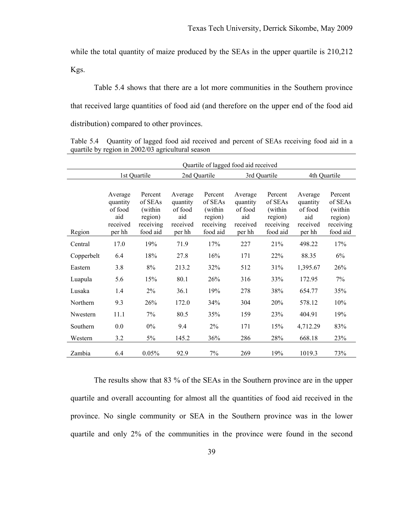while the total quantity of maize produced by the SEAs in the upper quartile is 210,212 Kgs.

Table 5.4 shows that there are a lot more communities in the Southern province that received large quantities of food aid (and therefore on the upper end of the food aid distribution) compared to other provinces.

Table 5.4 Quantity of lagged food aid received and percent of SEAs receiving food aid in a quartile by region in 2002/03 agricultural season

|            | Quartile of lagged food aid received |                     |                     |                    |                     |                    |                     |                    |
|------------|--------------------------------------|---------------------|---------------------|--------------------|---------------------|--------------------|---------------------|--------------------|
|            |                                      | 1st Quartile        | 2nd Quartile        |                    | 3rd Quartile        |                    | 4th Quartile        |                    |
|            |                                      |                     |                     |                    |                     |                    |                     |                    |
|            | Average                              | Percent             | Average             | Percent            | Average             | Percent            | Average             | Percent            |
|            | quantity<br>of food                  | of SEAs<br>(within) | quantity<br>of food | of SEAs<br>(within | quantity<br>of food | of SEAs<br>(within | quantity<br>of food | of SEAs<br>(within |
|            | aid                                  | region)             | aid                 | region)            | aid                 | region)            | aid                 | region)            |
|            | received                             | receiving           | received            | receiving          | received            | receiving          | received            | receiving          |
| Region     | per hh                               | food aid            | per hh              | food aid           | per hh              | food aid           | per hh              | food aid           |
| Central    | 17.0                                 | 19%                 | 71.9                | 17%                | 227                 | 21%                | 498.22              | 17%                |
| Copperbelt | 6.4                                  | 18%                 | 27.8                | 16%                | 171                 | 22%                | 88.35               | 6%                 |
| Eastern    | 3.8                                  | 8%                  | 213.2               | 32%                | 512                 | 31%                | 1,395.67            | 26%                |
| Luapula    | 5.6                                  | 15%                 | 80.1                | 26%                | 316                 | 33%                | 172.95              | 7%                 |
| Lusaka     | 1.4                                  | 2%                  | 36.1                | 19%                | 278                 | 38%                | 654.77              | 35%                |
| Northern   | 9.3                                  | 26%                 | 172.0               | 34%                | 304                 | 20%                | 578.12              | 10%                |
| Nwestern   | 11.1                                 | 7%                  | 80.5                | 35%                | 159                 | 23%                | 404.91              | 19%                |
| Southern   | 0.0                                  | $0\%$               | 9.4                 | 2%                 | 171                 | 15%                | 4,712.29            | 83%                |
| Western    | 3.2                                  | 5%                  | 145.2               | 36%                | 286                 | 28%                | 668.18              | 23%                |
| Zambia     | 6.4                                  | 0.05%               | 92.9                | 7%                 | 269                 | 19%                | 1019.3              | 73%                |

The results show that 83 % of the SEAs in the Southern province are in the upper quartile and overall accounting for almost all the quantities of food aid received in the province. No single community or SEA in the Southern province was in the lower quartile and only 2% of the communities in the province were found in the second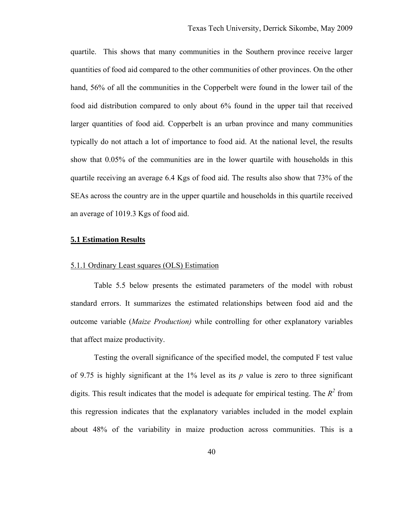quartile. This shows that many communities in the Southern province receive larger quantities of food aid compared to the other communities of other provinces. On the other hand, 56% of all the communities in the Copperbelt were found in the lower tail of the food aid distribution compared to only about 6% found in the upper tail that received larger quantities of food aid. Copperbelt is an urban province and many communities typically do not attach a lot of importance to food aid. At the national level, the results show that 0.05% of the communities are in the lower quartile with households in this quartile receiving an average 6.4 Kgs of food aid. The results also show that 73% of the SEAs across the country are in the upper quartile and households in this quartile received an average of 1019.3 Kgs of food aid.

#### **5.1 Estimation Results**

### 5.1.1 Ordinary Least squares (OLS) Estimation

Table 5.5 below presents the estimated parameters of the model with robust standard errors. It summarizes the estimated relationships between food aid and the outcome variable (*Maize Production)* while controlling for other explanatory variables that affect maize productivity.

Testing the overall significance of the specified model, the computed F test value of 9.75 is highly significant at the  $1\%$  level as its p value is zero to three significant digits. This result indicates that the model is adequate for empirical testing. The  $R^2$  from this regression indicates that the explanatory variables included in the model explain about 48% of the variability in maize production across communities. This is a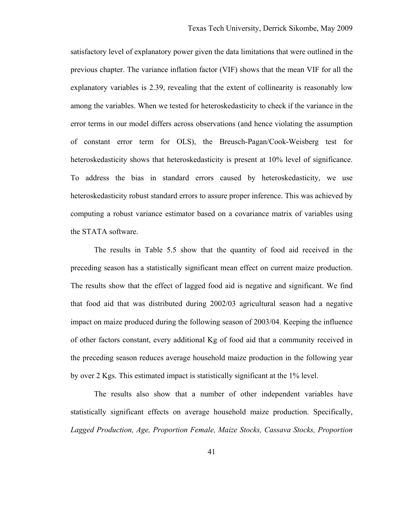satisfactory level of explanatory power given the data limitations that were outlined in the previous chapter. The variance inflation factor (VIF) shows that the mean VIF for all the explanatory variables is 2.39, revealing that the extent of collinearity is reasonably low among the variables. When we tested for heteroskedasticity to check if the variance in the error terms in our model differs across observations (and hence violating the assumption of constant error term for OLS), the Breusch-Pagan/Cook-Weisberg test for heteroskedasticity shows that heteroskedasticity is present at 10% level of significance. To address the bias in standard errors caused by heteroskedasticity, we use heteroskedasticity robust standard errors to assure proper inference. This was achieved by computing a robust variance estimator based on a covariance matrix of variables using the STATA software.

The results in Table 5.5 show that the quantity of food aid received in the preceding season has a statistically significant mean effect on current maize production. The results show that the effect of lagged food aid is negative and significant. We find that food aid that was distributed during 2002/03 agricultural season had a negative impact on maize produced during the following season of 2003/04. Keeping the influence of other factors constant, every additional Kg of food aid that a community received in the preceding season reduces average household maize production in the following year by over 2 Kgs. This estimated impact is statistically significant at the 1% level.

The results also show that a number of other independent variables have statistically significant effects on average household maize production. Specifically, *Lagged Production, Age, Proportion Female, Maize Stocks, Cassava Stocks, Proportion*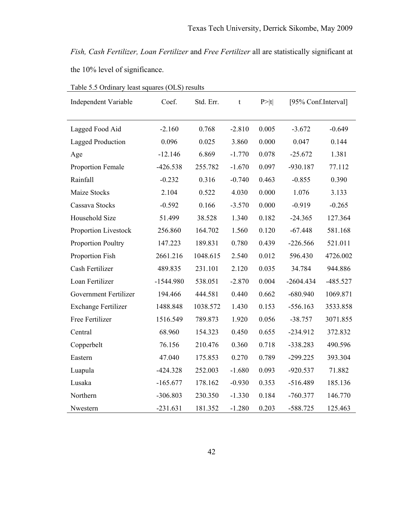*Fish, Cash Fertilizer, Loan Fertilizer* and *Free Fertilizer* all are statistically significant at the 10% level of significance.

| <b>Independent Variable</b> | Coef.       | Std. Err. | t        | P >  t | [95% Conf.Interval] |            |
|-----------------------------|-------------|-----------|----------|--------|---------------------|------------|
| Lagged Food Aid             | $-2.160$    | 0.768     | $-2.810$ | 0.005  | $-3.672$            | $-0.649$   |
| <b>Lagged Production</b>    | 0.096       | 0.025     | 3.860    | 0.000  | 0.047               | 0.144      |
| Age                         | $-12.146$   | 6.869     | $-1.770$ | 0.078  | $-25.672$           | 1.381      |
| Proportion Female           | $-426.538$  | 255.782   | $-1.670$ | 0.097  | $-930.187$          | 77.112     |
| Rainfall                    | $-0.232$    | 0.316     | $-0.740$ | 0.463  | $-0.855$            | 0.390      |
| <b>Maize Stocks</b>         | 2.104       | 0.522     | 4.030    | 0.000  | 1.076               | 3.133      |
| Cassava Stocks              | $-0.592$    | 0.166     | $-3.570$ | 0.000  | $-0.919$            | $-0.265$   |
| Household Size              | 51.499      | 38.528    | 1.340    | 0.182  | $-24.365$           | 127.364    |
| Proportion Livestock        | 256.860     | 164.702   | 1.560    | 0.120  | $-67.448$           | 581.168    |
| <b>Proportion Poultry</b>   | 147.223     | 189.831   | 0.780    | 0.439  | $-226.566$          | 521.011    |
| Proportion Fish             | 2661.216    | 1048.615  | 2.540    | 0.012  | 596.430             | 4726.002   |
| Cash Fertilizer             | 489.835     | 231.101   | 2.120    | 0.035  | 34.784              | 944.886    |
| Loan Fertilizer             | $-1544.980$ | 538.051   | $-2.870$ | 0.004  | $-2604.434$         | $-485.527$ |
| Government Fertilizer       | 194.466     | 444.581   | 0.440    | 0.662  | $-680.940$          | 1069.871   |
| <b>Exchange Fertilizer</b>  | 1488.848    | 1038.572  | 1.430    | 0.153  | $-556.163$          | 3533.858   |
| Free Fertilizer             | 1516.549    | 789.873   | 1.920    | 0.056  | $-38.757$           | 3071.855   |
| Central                     | 68.960      | 154.323   | 0.450    | 0.655  | $-234.912$          | 372.832    |
| Copperbelt                  | 76.156      | 210.476   | 0.360    | 0.718  | $-338.283$          | 490.596    |
| Eastern                     | 47.040      | 175.853   | 0.270    | 0.789  | $-299.225$          | 393.304    |
| Luapula                     | $-424.328$  | 252.003   | $-1.680$ | 0.093  | $-920.537$          | 71.882     |
| Lusaka                      | $-165.677$  | 178.162   | $-0.930$ | 0.353  | $-516.489$          | 185.136    |
| Northern                    | $-306.803$  | 230.350   | $-1.330$ | 0.184  | $-760.377$          | 146.770    |
| Nwestern                    | $-231.631$  | 181.352   | $-1.280$ | 0.203  | $-588.725$          | 125.463    |

|--|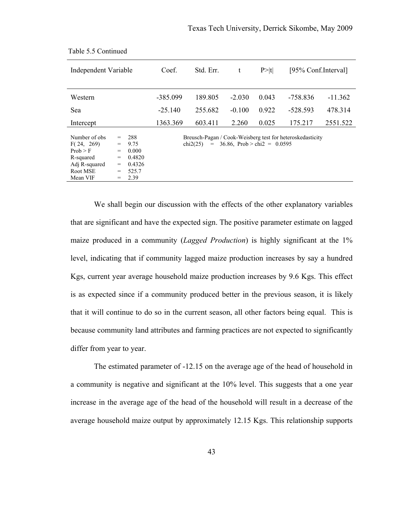| Independent Variable                                                                           |                                             |                                                           | Coef.      | Std. Err.       | t                             | P >  t | [95% Conf.Interval]                                       |           |
|------------------------------------------------------------------------------------------------|---------------------------------------------|-----------------------------------------------------------|------------|-----------------|-------------------------------|--------|-----------------------------------------------------------|-----------|
| Western                                                                                        |                                             |                                                           | $-385.099$ | 189.805         | $-2.030$                      | 0.043  | -758.836                                                  | $-11.362$ |
| Sea                                                                                            |                                             |                                                           | $-25.140$  | 255.682         | $-0.100$                      | 0.922  | $-528.593$                                                | 478.314   |
| Intercept                                                                                      |                                             |                                                           | 1363.369   | 603.411         | 2.260                         | 0.025  | 175.217                                                   | 2551.522  |
| Number of obs.<br>F(24, 269)<br>Prob > F<br>R-squared<br>Adj R-squared<br>Root MSE<br>Mean VIF | $=$<br>$=$<br>$=$<br>$=$<br>=<br>$=$<br>$=$ | 288<br>9.75<br>0.000<br>0.4820<br>0.4326<br>525.7<br>2.39 |            | chi2(25)<br>$=$ | 36.86, Prob > chi2 = $0.0595$ |        | Breusch-Pagan / Cook-Weisberg test for heteroskedasticity |           |

Table 5.5 Continued

We shall begin our discussion with the effects of the other explanatory variables that are significant and have the expected sign. The positive parameter estimate on lagged maize produced in a community (*Lagged Production*) is highly significant at the 1% level, indicating that if community lagged maize production increases by say a hundred Kgs, current year average household maize production increases by 9.6 Kgs. This effect is as expected since if a community produced better in the previous season, it is likely that it will continue to do so in the current season, all other factors being equal. This is because community land attributes and farming practices are not expected to significantly differ from year to year.

The estimated parameter of -12.15 on the average age of the head of household in a community is negative and significant at the 10% level. This suggests that a one year increase in the average age of the head of the household will result in a decrease of the average household maize output by approximately 12.15 Kgs. This relationship supports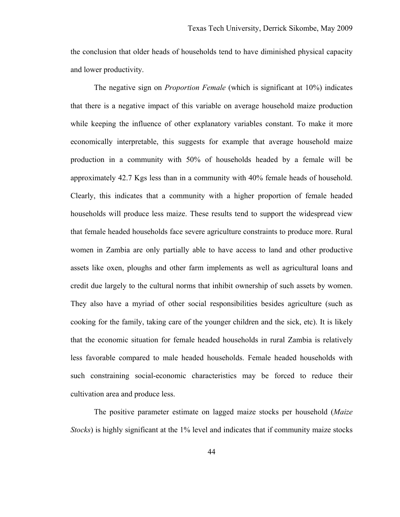the conclusion that older heads of households tend to have diminished physical capacity and lower productivity.

The negative sign on *Proportion Female* (which is significant at 10%) indicates that there is a negative impact of this variable on average household maize production while keeping the influence of other explanatory variables constant. To make it more economically interpretable, this suggests for example that average household maize production in a community with 50% of households headed by a female will be approximately 42.7 Kgs less than in a community with 40% female heads of household. Clearly, this indicates that a community with a higher proportion of female headed households will produce less maize. These results tend to support the widespread view that female headed households face severe agriculture constraints to produce more. Rural women in Zambia are only partially able to have access to land and other productive assets like oxen, ploughs and other farm implements as well as agricultural loans and credit due largely to the cultural norms that inhibit ownership of such assets by women. They also have a myriad of other social responsibilities besides agriculture (such as cooking for the family, taking care of the younger children and the sick, etc). It is likely that the economic situation for female headed households in rural Zambia is relatively less favorable compared to male headed households. Female headed households with such constraining social-economic characteristics may be forced to reduce their cultivation area and produce less.

The positive parameter estimate on lagged maize stocks per household (*Maize Stocks*) is highly significant at the 1% level and indicates that if community maize stocks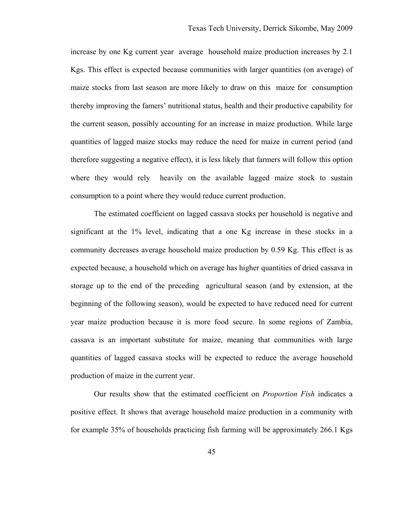increase by one Kg current year average household maize production increases by 2.1 Kgs. This effect is expected because communities with larger quantities (on average) of maize stocks from last season are more likely to draw on this maize for consumption thereby improving the famers' nutritional status, health and their productive capability for the current season, possibly accounting for an increase in maize production. While large quantities of lagged maize stocks may reduce the need for maize in current period (and therefore suggesting a negative effect), it is less likely that farmers will follow this option where they would rely heavily on the available lagged maize stock to sustain consumption to a point where they would reduce current production.

The estimated coefficient on lagged cassava stocks per household is negative and significant at the 1% level, indicating that a one Kg increase in these stocks in a community decreases average household maize production by 0.59 Kg. This effect is as expected because, a household which on average has higher quantities of dried cassava in storage up to the end of the preceding agricultural season (and by extension, at the beginning of the following season), would be expected to have reduced need for current year maize production because it is more food secure. In some regions of Zambia, cassava is an important substitute for maize, meaning that communities with large quantities of lagged cassava stocks will be expected to reduce the average household production of maize in the current year.

Our results show that the estimated coefficient on *Proportion Fish* indicates a positive effect. It shows that average household maize production in a community with for example 35% of households practicing fish farming will be approximately 266.1 Kgs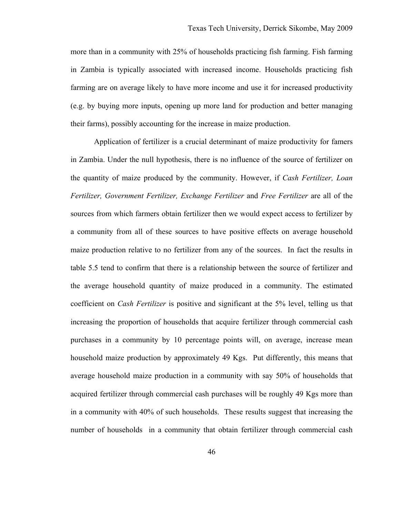more than in a community with 25% of households practicing fish farming. Fish farming in Zambia is typically associated with increased income. Households practicing fish farming are on average likely to have more income and use it for increased productivity (e.g. by buying more inputs, opening up more land for production and better managing their farms), possibly accounting for the increase in maize production.

Application of fertilizer is a crucial determinant of maize productivity for famers in Zambia. Under the null hypothesis, there is no influence of the source of fertilizer on the quantity of maize produced by the community. However, if *Cash Fertilizer, Loan Fertilizer, Government Fertilizer, Exchange Fertilizer* and *Free Fertilizer* are all of the sources from which farmers obtain fertilizer then we would expect access to fertilizer by a community from all of these sources to have positive effects on average household maize production relative to no fertilizer from any of the sources. In fact the results in table 5.5 tend to confirm that there is a relationship between the source of fertilizer and the average household quantity of maize produced in a community. The estimated coefficient on *Cash Fertilizer* is positive and significant at the 5% level, telling us that increasing the proportion of households that acquire fertilizer through commercial cash purchases in a community by 10 percentage points will, on average, increase mean household maize production by approximately 49 Kgs. Put differently, this means that average household maize production in a community with say 50% of households that acquired fertilizer through commercial cash purchases will be roughly 49 Kgs more than in a community with 40% of such households. These results suggest that increasing the number of households in a community that obtain fertilizer through commercial cash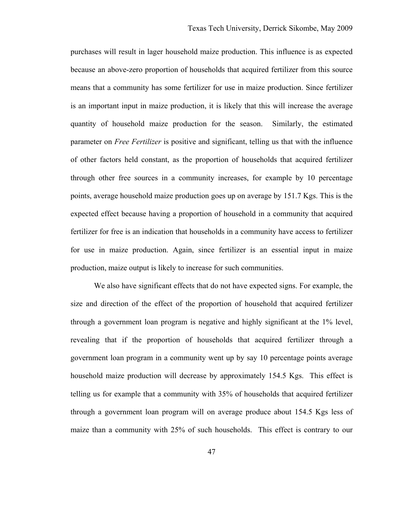purchases will result in lager household maize production. This influence is as expected because an above-zero proportion of households that acquired fertilizer from this source means that a community has some fertilizer for use in maize production. Since fertilizer is an important input in maize production, it is likely that this will increase the average quantity of household maize production for the season. Similarly, the estimated parameter on *Free Fertilizer* is positive and significant, telling us that with the influence of other factors held constant, as the proportion of households that acquired fertilizer through other free sources in a community increases, for example by 10 percentage points, average household maize production goes up on average by 151.7 Kgs. This is the expected effect because having a proportion of household in a community that acquired fertilizer for free is an indication that households in a community have access to fertilizer for use in maize production. Again, since fertilizer is an essential input in maize production, maize output is likely to increase for such communities.

We also have significant effects that do not have expected signs. For example, the size and direction of the effect of the proportion of household that acquired fertilizer through a government loan program is negative and highly significant at the 1% level, revealing that if the proportion of households that acquired fertilizer through a government loan program in a community went up by say 10 percentage points average household maize production will decrease by approximately 154.5 Kgs. This effect is telling us for example that a community with 35% of households that acquired fertilizer through a government loan program will on average produce about 154.5 Kgs less of maize than a community with 25% of such households. This effect is contrary to our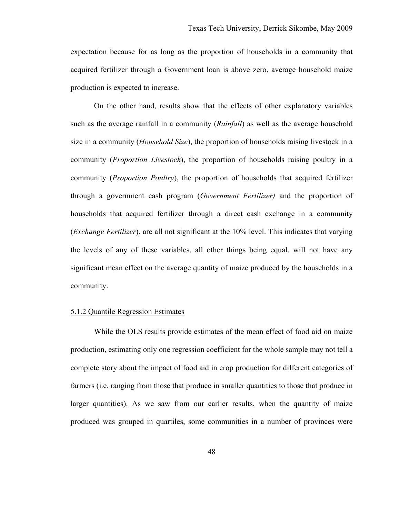expectation because for as long as the proportion of households in a community that acquired fertilizer through a Government loan is above zero, average household maize production is expected to increase.

On the other hand, results show that the effects of other explanatory variables such as the average rainfall in a community (*Rainfall*) as well as the average household size in a community (*Household Size*), the proportion of households raising livestock in a community (*Proportion Livestock*), the proportion of households raising poultry in a community (*Proportion Poultry*), the proportion of households that acquired fertilizer through a government cash program (*Government Fertilizer)* and the proportion of households that acquired fertilizer through a direct cash exchange in a community (*Exchange Fertilizer*), are all not significant at the 10% level. This indicates that varying the levels of any of these variables, all other things being equal, will not have any significant mean effect on the average quantity of maize produced by the households in a community.

#### 5.1.2 Quantile Regression Estimates

While the OLS results provide estimates of the mean effect of food aid on maize production, estimating only one regression coefficient for the whole sample may not tell a complete story about the impact of food aid in crop production for different categories of farmers (i.e. ranging from those that produce in smaller quantities to those that produce in larger quantities). As we saw from our earlier results, when the quantity of maize produced was grouped in quartiles, some communities in a number of provinces were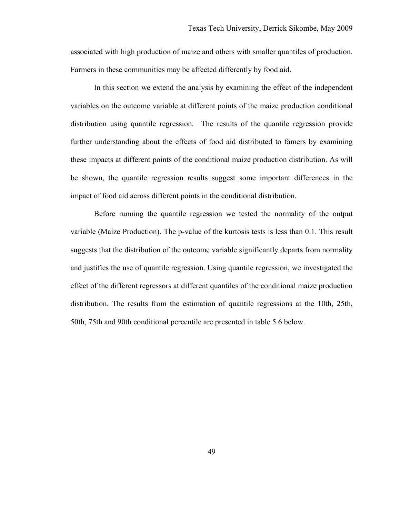associated with high production of maize and others with smaller quantiles of production. Farmers in these communities may be affected differently by food aid.

In this section we extend the analysis by examining the effect of the independent variables on the outcome variable at different points of the maize production conditional distribution using quantile regression. The results of the quantile regression provide further understanding about the effects of food aid distributed to famers by examining these impacts at different points of the conditional maize production distribution. As will be shown, the quantile regression results suggest some important differences in the impact of food aid across different points in the conditional distribution.

Before running the quantile regression we tested the normality of the output variable (Maize Production). The p-value of the kurtosis tests is less than 0.1. This result suggests that the distribution of the outcome variable significantly departs from normality and justifies the use of quantile regression. Using quantile regression, we investigated the effect of the different regressors at different quantiles of the conditional maize production distribution. The results from the estimation of quantile regressions at the 10th, 25th, 50th, 75th and 90th conditional percentile are presented in table 5.6 below.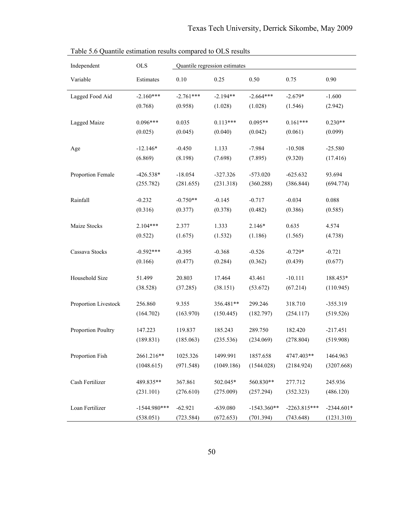| Independent          | <b>OLS</b>           | Quantile regression estimates |                      |                      |                      |                         |
|----------------------|----------------------|-------------------------------|----------------------|----------------------|----------------------|-------------------------|
| Variable             | Estimates            | 0.10                          | 0.25                 | 0.50                 | 0.75                 | 0.90                    |
| Lagged Food Aid      | $-2.160***$          | $-2.761***$                   | $-2.194**$           | $-2.664***$          | $-2.679*$            | $-1.600$                |
|                      | (0.768)              | (0.958)                       | (1.028)              | (1.028)              | (1.546)              | (2.942)                 |
| Lagged Maize         | $0.096***$           | 0.035                         | $0.113***$           | $0.095**$            | $0.161***$           | $0.230**$               |
|                      | (0.025)              | (0.045)                       | (0.040)              | (0.042)              | (0.061)              | (0.099)                 |
| Age                  | $-12.146*$           | $-0.450$                      | 1.133                | $-7.984$             | $-10.508$            | $-25.580$               |
|                      | (6.869)              | (8.198)                       | (7.698)              | (7.895)              | (9.320)              | (17.416)                |
| Proportion Female    | $-426.538*$          | $-18.054$                     | $-327.326$           | $-573.020$           | $-625.632$           | 93.694                  |
|                      | (255.782)            | (281.655)                     | (231.318)            | (360.288)            | (386.844)            | (694.774)               |
| Rainfall             | $-0.232$             | $-0.750**$                    | $-0.145$             | $-0.717$             | $-0.034$             | 0.088                   |
|                      | (0.316)              | (0.377)                       | (0.378)              | (0.482)              | (0.386)              | (0.585)                 |
| Maize Stocks         | $2.104***$           | 2.377                         | 1.333                | $2.146*$             | 0.635                | 4.574                   |
|                      | (0.522)              | (1.675)                       | (1.532)              | (1.186)              | (1.565)              | (4.738)                 |
| Cassava Stocks       | $-0.592***$          | $-0.395$                      | $-0.368$             | $-0.526$             | $-0.729*$            | $-0.721$                |
|                      | (0.166)              | (0.477)                       | (0.284)              | (0.362)              | (0.439)              | (0.677)                 |
| Household Size       | 51.499               | 20.803                        | 17.464               | 43.461               | $-10.111$            | 188.453*                |
|                      | (38.528)             | (37.285)                      | (38.151)             | (53.672)             | (67.214)             | (110.945)               |
| Proportion Livestock | 256.860              | 9.355                         | 356.481**            | 299.246              | 318.710              | $-355.319$              |
|                      | (164.702)            | (163.970)                     | (150.445)            | (182.797)            | (254.117)            | (519.526)               |
|                      |                      |                               |                      |                      |                      |                         |
| Proportion Poultry   | 147.223<br>(189.831) | 119.837<br>(185.063)          | 185.243<br>(235.536) | 289.750<br>(234.069) | 182.420<br>(278.804) | $-217.451$<br>(519.908) |
|                      |                      |                               |                      |                      |                      |                         |
| Proportion Fish      | 2661.216**           | 1025.326                      | 1499.991             | 1857.658             | 4747.403**           | 1464.963                |
|                      | (1048.615)           | (971.548)                     | (1049.186)           | (1544.028)           | (2184.924)           | (3207.668)              |
| Cash Fertilizer      | 489.835**            | 367.861                       | 502.045*             | 560.830**            | 277.712              | 245.936                 |
|                      | (231.101)            | (276.610)                     | (275.009)            | (257.294)            | (352.323)            | (486.120)               |
| Loan Fertilizer      | $-1544.980***$       | $-62.921$                     | $-639.080$           | $-1543.360**$        | $-2263.815***$       | $-2344.601*$            |
|                      | (538.051)            | (723.584)                     | (672.653)            | (701.394)            | (743.648)            | (1231.310)              |

Table 5.6 Quantile estimation results compared to OLS results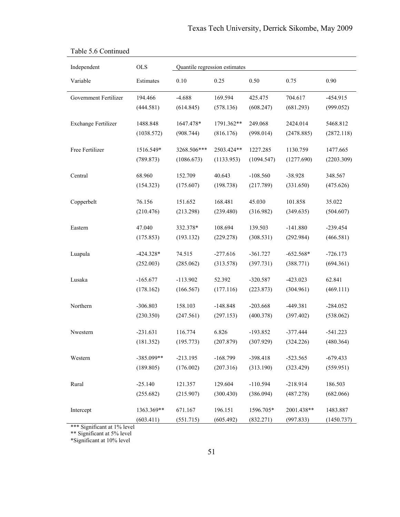| Independent                | <b>OLS</b>          |                      | Quantile regression estimates |                         |                        |                      |
|----------------------------|---------------------|----------------------|-------------------------------|-------------------------|------------------------|----------------------|
| Variable                   | Estimates           | 0.10                 | 0.25                          | 0.50                    | 0.75                   | 0.90                 |
| Government Fertilizer      | 194.466             | $-4.688$             | 169.594                       | 425.475                 | 704.617                | $-454.915$           |
|                            | (444.581)           | (614.845)            | (578.136)                     | (608.247)               | (681.293)              | (999.052)            |
| <b>Exchange Fertilizer</b> | 1488.848            | 1647.478*            | 1791.362**                    | 249.068                 | 2424.014               | 5468.812             |
|                            | (1038.572)          | (908.744)            | (816.176)                     | (998.014)               | (2478.885)             | (2872.118)           |
| Free Fertilizer            | 1516.549*           | 3268.506***          | 2503.424**                    | 1227.285                | 1130.759               | 1477.665             |
|                            | (789.873)           | (1086.673)           | (1133.953)                    | (1094.547)              | (1277.690)             | (2203.309)           |
|                            |                     |                      |                               |                         |                        |                      |
| Central                    | 68.960<br>(154.323) | 152.709<br>(175.607) | 40.643<br>(198.738)           | $-108.560$<br>(217.789) | $-38.928$<br>(331.650) | 348.567<br>(475.626) |
|                            |                     |                      |                               |                         |                        |                      |
| Copperbelt                 | 76.156              | 151.652              | 168.481                       | 45.030                  | 101.858                | 35.022               |
|                            | (210.476)           | (213.298)            | (239.480)                     | (316.982)               | (349.635)              | (504.607)            |
| Eastern                    | 47.040              | 332.378*             | 108.694                       | 139.503                 | $-141.880$             | $-239.454$           |
|                            | (175.853)           | (193.132)            | (229.278)                     | (308.531)               | (292.984)              | (466.581)            |
| Luapula                    | $-424.328*$         | 74.515               | $-277.616$                    | $-361.727$              | $-652.568*$            | $-726.173$           |
|                            | (252.003)           | (285.062)            | (313.578)                     | (397.731)               | (388.771)              | (694.361)            |
|                            |                     |                      |                               |                         |                        |                      |
| Lusaka                     | $-165.677$          | $-113.902$           | 52.392                        | $-320.587$              | $-423.023$             | 62.841               |
|                            | (178.162)           | (166.567)            | (177.116)                     | (223.873)               | (304.961)              | (469.111)            |
| Northern                   | $-306.803$          | 158.103              | $-148.848$                    | $-203.668$              | $-449.381$             | $-284.052$           |
|                            | (230.350)           | (247.561)            | (297.153)                     | (400.378)               | (397.402)              | (538.062)            |
| Nwestern                   | $-231.631$          | 116.774              | 6.826                         | $-193.852$              | $-377.444$             | $-541.223$           |
|                            | (181.352)           | (195.773)            | (207.879)                     | (307.929)               | (324.226)              | (480.364)            |
|                            |                     |                      |                               |                         |                        |                      |
| Western                    | $-385.099**$        | $-213.195$           | $-168.799$                    | $-398.418$              | $-523.565$             | $-679.433$           |
|                            | (189.805)           | (176.002)            | (207.316)                     | (313.190)               | (323.429)              | (559.951)            |
| Rural                      | $-25.140$           | 121.357              | 129.604                       | $-110.594$              | $-218.914$             | 186.503              |
|                            | (255.682)           | (215.907)            | (300.430)                     | (386.094)               | (487.278)              | (682.066)            |
| Intercept                  | 1363.369**          | 671.167              | 196.151                       | 1596.705*               | 2001.438**             | 1483.887             |
|                            | (603.411)           | (551.715)            | (605.492)                     | (832.271)               | (997.833)              | (1450.737)           |

# Table 5.6 Continued

\*\*\* Significant at 1% level

\*\* Significant at 5% level

\*Significant at 10% level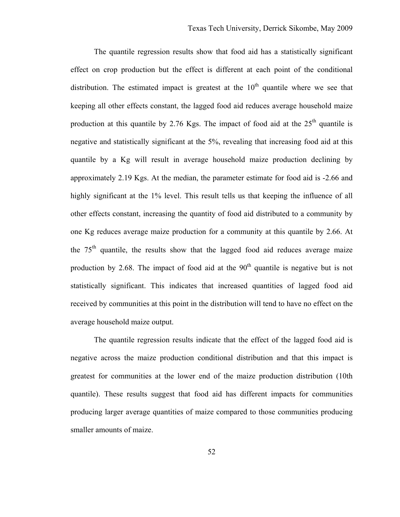The quantile regression results show that food aid has a statistically significant effect on crop production but the effect is different at each point of the conditional distribution. The estimated impact is greatest at the  $10<sup>th</sup>$  quantile where we see that keeping all other effects constant, the lagged food aid reduces average household maize production at this quantile by 2.76 Kgs. The impact of food aid at the  $25<sup>th</sup>$  quantile is negative and statistically significant at the 5%, revealing that increasing food aid at this quantile by a Kg will result in average household maize production declining by approximately 2.19 Kgs. At the median, the parameter estimate for food aid is -2.66 and highly significant at the 1% level. This result tells us that keeping the influence of all other effects constant, increasing the quantity of food aid distributed to a community by one Kg reduces average maize production for a community at this quantile by 2.66. At the  $75<sup>th</sup>$  quantile, the results show that the lagged food aid reduces average maize production by 2.68. The impact of food aid at the  $90<sup>th</sup>$  quantile is negative but is not statistically significant. This indicates that increased quantities of lagged food aid received by communities at this point in the distribution will tend to have no effect on the average household maize output.

The quantile regression results indicate that the effect of the lagged food aid is negative across the maize production conditional distribution and that this impact is greatest for communities at the lower end of the maize production distribution (10th quantile). These results suggest that food aid has different impacts for communities producing larger average quantities of maize compared to those communities producing smaller amounts of maize.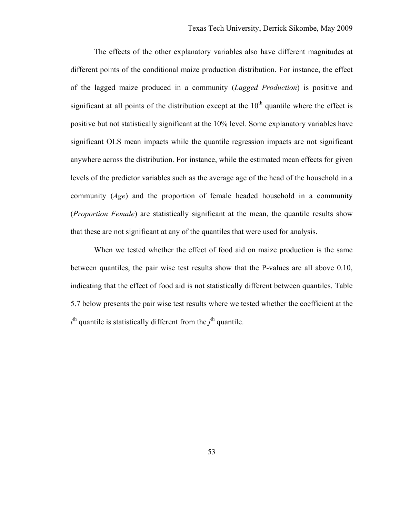The effects of the other explanatory variables also have different magnitudes at different points of the conditional maize production distribution. For instance, the effect of the lagged maize produced in a community (*Lagged Production*) is positive and significant at all points of the distribution except at the  $10<sup>th</sup>$  quantile where the effect is positive but not statistically significant at the 10% level. Some explanatory variables have significant OLS mean impacts while the quantile regression impacts are not significant anywhere across the distribution. For instance, while the estimated mean effects for given levels of the predictor variables such as the average age of the head of the household in a community (*Age*) and the proportion of female headed household in a community (*Proportion Female*) are statistically significant at the mean, the quantile results show that these are not significant at any of the quantiles that were used for analysis.

When we tested whether the effect of food aid on maize production is the same between quantiles, the pair wise test results show that the P-values are all above 0.10, indicating that the effect of food aid is not statistically different between quantiles. Table 5.7 below presents the pair wise test results where we tested whether the coefficient at the  $i<sup>th</sup>$  quantile is statistically different from the  $j<sup>th</sup>$  quantile.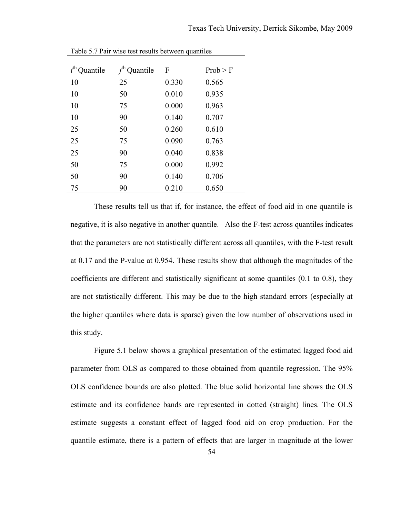| $i^{\text{th}}$<br>uantile | -th<br>uantile | $\overline{F}$ | Prob > F |
|----------------------------|----------------|----------------|----------|
| 10                         | 25             | 0.330          | 0.565    |
| 10                         | 50             | 0.010          | 0.935    |
| 10                         | 75             | 0.000          | 0.963    |
| 10                         | 90             | 0.140          | 0.707    |
| 25                         | 50             | 0.260          | 0.610    |
| 25                         | 75             | 0.090          | 0.763    |
| 25                         | 90             | 0.040          | 0.838    |
| 50                         | 75             | 0.000          | 0.992    |
| 50                         | 90             | 0.140          | 0.706    |
| 75                         | 90             | 0.210          | 0.650    |

Table 5.7 Pair wise test results between quantiles

These results tell us that if, for instance, the effect of food aid in one quantile is negative, it is also negative in another quantile. Also the F-test across quantiles indicates that the parameters are not statistically different across all quantiles, with the F-test result at 0.17 and the P-value at 0.954. These results show that although the magnitudes of the coefficients are different and statistically significant at some quantiles (0.1 to 0.8), they are not statistically different. This may be due to the high standard errors (especially at the higher quantiles where data is sparse) given the low number of observations used in this study.

Figure 5.1 below shows a graphical presentation of the estimated lagged food aid parameter from OLS as compared to those obtained from quantile regression. The 95% OLS confidence bounds are also plotted. The blue solid horizontal line shows the OLS estimate and its confidence bands are represented in dotted (straight) lines. The OLS estimate suggests a constant effect of lagged food aid on crop production. For the quantile estimate, there is a pattern of effects that are larger in magnitude at the lower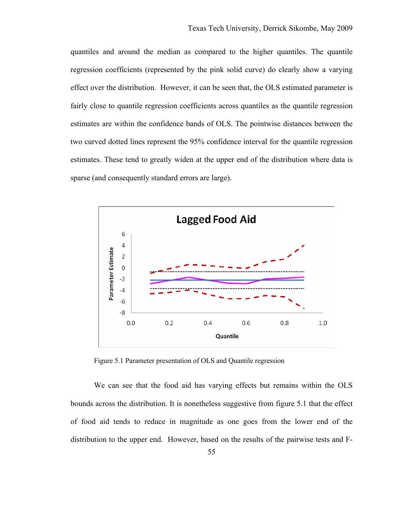quantiles and around the median as compared to the higher quantiles. The quantile regression coefficients (represented by the pink solid curve) do clearly show a varying effect over the distribution. However, it can be seen that, the OLS estimated parameter is fairly close to quantile regression coefficients across quantiles as the quantile regression estimates are within the confidence bands of OLS. The pointwise distances between the two curved dotted lines represent the 95% confidence interval for the quantile regression estimates. These tend to greatly widen at the upper end of the distribution where data is sparse (and consequently standard errors are large).



Figure 5.1 Parameter presentation of OLS and Quantile regression

We can see that the food aid has varying effects but remains within the OLS bounds across the distribution. It is nonetheless suggestive from figure 5.1 that the effect of food aid tends to reduce in magnitude as one goes from the lower end of the distribution to the upper end. However, based on the results of the pairwise tests and F-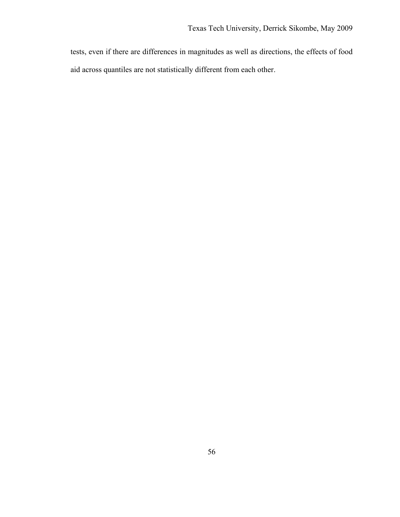tests, even if there are differences in magnitudes as well as directions, the effects of food aid across quantiles are not statistically different from each other.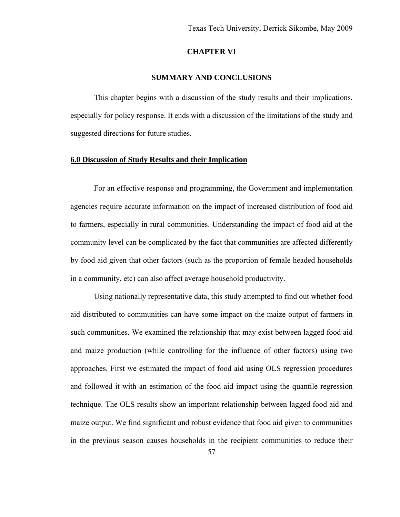## **CHAPTER VI**

### **SUMMARY AND CONCLUSIONS**

 This chapter begins with a discussion of the study results and their implications, especially for policy response. It ends with a discussion of the limitations of the study and suggested directions for future studies.

## **6.0 Discussion of Study Results and their Implication**

For an effective response and programming, the Government and implementation agencies require accurate information on the impact of increased distribution of food aid to farmers, especially in rural communities. Understanding the impact of food aid at the community level can be complicated by the fact that communities are affected differently by food aid given that other factors (such as the proportion of female headed households in a community, etc) can also affect average household productivity.

Using nationally representative data, this study attempted to find out whether food aid distributed to communities can have some impact on the maize output of farmers in such communities. We examined the relationship that may exist between lagged food aid and maize production (while controlling for the influence of other factors) using two approaches. First we estimated the impact of food aid using OLS regression procedures and followed it with an estimation of the food aid impact using the quantile regression technique. The OLS results show an important relationship between lagged food aid and maize output. We find significant and robust evidence that food aid given to communities in the previous season causes households in the recipient communities to reduce their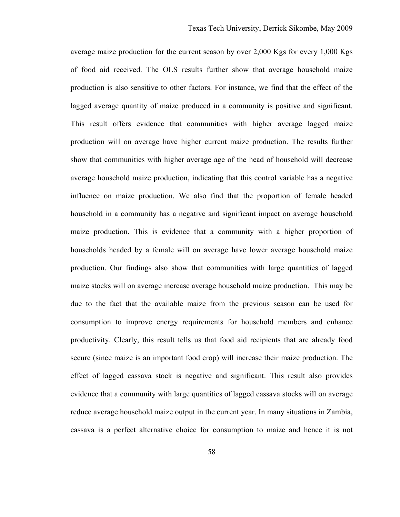average maize production for the current season by over 2,000 Kgs for every 1,000 Kgs of food aid received. The OLS results further show that average household maize production is also sensitive to other factors. For instance, we find that the effect of the lagged average quantity of maize produced in a community is positive and significant. This result offers evidence that communities with higher average lagged maize production will on average have higher current maize production. The results further show that communities with higher average age of the head of household will decrease average household maize production, indicating that this control variable has a negative influence on maize production. We also find that the proportion of female headed household in a community has a negative and significant impact on average household maize production. This is evidence that a community with a higher proportion of households headed by a female will on average have lower average household maize production. Our findings also show that communities with large quantities of lagged maize stocks will on average increase average household maize production. This may be due to the fact that the available maize from the previous season can be used for consumption to improve energy requirements for household members and enhance productivity. Clearly, this result tells us that food aid recipients that are already food secure (since maize is an important food crop) will increase their maize production. The effect of lagged cassava stock is negative and significant. This result also provides evidence that a community with large quantities of lagged cassava stocks will on average reduce average household maize output in the current year. In many situations in Zambia, cassava is a perfect alternative choice for consumption to maize and hence it is not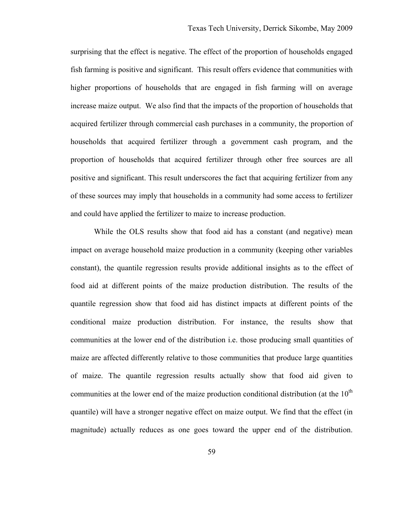surprising that the effect is negative. The effect of the proportion of households engaged fish farming is positive and significant. This result offers evidence that communities with higher proportions of households that are engaged in fish farming will on average increase maize output. We also find that the impacts of the proportion of households that acquired fertilizer through commercial cash purchases in a community, the proportion of households that acquired fertilizer through a government cash program, and the proportion of households that acquired fertilizer through other free sources are all positive and significant. This result underscores the fact that acquiring fertilizer from any of these sources may imply that households in a community had some access to fertilizer and could have applied the fertilizer to maize to increase production.

While the OLS results show that food aid has a constant (and negative) mean impact on average household maize production in a community (keeping other variables constant), the quantile regression results provide additional insights as to the effect of food aid at different points of the maize production distribution. The results of the quantile regression show that food aid has distinct impacts at different points of the conditional maize production distribution. For instance, the results show that communities at the lower end of the distribution i.e. those producing small quantities of maize are affected differently relative to those communities that produce large quantities of maize. The quantile regression results actually show that food aid given to communities at the lower end of the maize production conditional distribution (at the  $10<sup>th</sup>$ quantile) will have a stronger negative effect on maize output. We find that the effect (in magnitude) actually reduces as one goes toward the upper end of the distribution.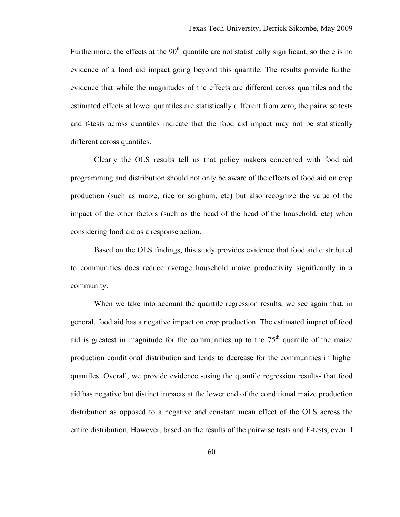Furthermore, the effects at the  $90<sup>th</sup>$  quantile are not statistically significant, so there is no evidence of a food aid impact going beyond this quantile. The results provide further evidence that while the magnitudes of the effects are different across quantiles and the estimated effects at lower quantiles are statistically different from zero, the pairwise tests and f-tests across quantiles indicate that the food aid impact may not be statistically different across quantiles.

Clearly the OLS results tell us that policy makers concerned with food aid programming and distribution should not only be aware of the effects of food aid on crop production (such as maize, rice or sorghum, etc) but also recognize the value of the impact of the other factors (such as the head of the head of the household, etc) when considering food aid as a response action.

Based on the OLS findings, this study provides evidence that food aid distributed to communities does reduce average household maize productivity significantly in a community.

When we take into account the quantile regression results, we see again that, in general, food aid has a negative impact on crop production. The estimated impact of food aid is greatest in magnitude for the communities up to the  $75<sup>th</sup>$  quantile of the maize production conditional distribution and tends to decrease for the communities in higher quantiles. Overall, we provide evidence -using the quantile regression results- that food aid has negative but distinct impacts at the lower end of the conditional maize production distribution as opposed to a negative and constant mean effect of the OLS across the entire distribution. However, based on the results of the pairwise tests and F-tests, even if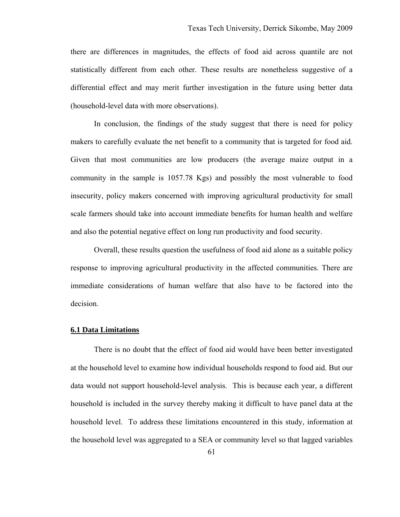there are differences in magnitudes, the effects of food aid across quantile are not statistically different from each other. These results are nonetheless suggestive of a differential effect and may merit further investigation in the future using better data (household-level data with more observations).

In conclusion, the findings of the study suggest that there is need for policy makers to carefully evaluate the net benefit to a community that is targeted for food aid. Given that most communities are low producers (the average maize output in a community in the sample is 1057.78 Kgs) and possibly the most vulnerable to food insecurity, policy makers concerned with improving agricultural productivity for small scale farmers should take into account immediate benefits for human health and welfare and also the potential negative effect on long run productivity and food security.

Overall, these results question the usefulness of food aid alone as a suitable policy response to improving agricultural productivity in the affected communities. There are immediate considerations of human welfare that also have to be factored into the decision.

### **6.1 Data Limitations**

There is no doubt that the effect of food aid would have been better investigated at the household level to examine how individual households respond to food aid. But our data would not support household-level analysis. This is because each year, a different household is included in the survey thereby making it difficult to have panel data at the household level. To address these limitations encountered in this study, information at the household level was aggregated to a SEA or community level so that lagged variables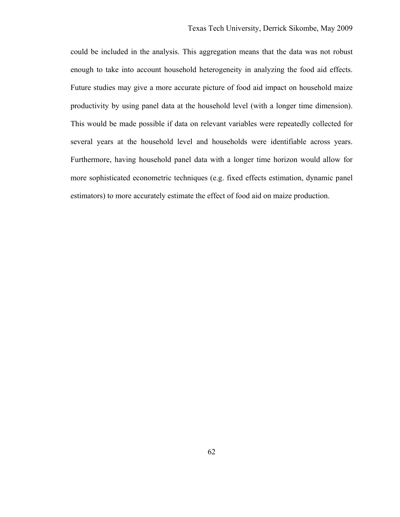could be included in the analysis. This aggregation means that the data was not robust enough to take into account household heterogeneity in analyzing the food aid effects. Future studies may give a more accurate picture of food aid impact on household maize productivity by using panel data at the household level (with a longer time dimension). This would be made possible if data on relevant variables were repeatedly collected for several years at the household level and households were identifiable across years. Furthermore, having household panel data with a longer time horizon would allow for more sophisticated econometric techniques (e.g. fixed effects estimation, dynamic panel estimators) to more accurately estimate the effect of food aid on maize production.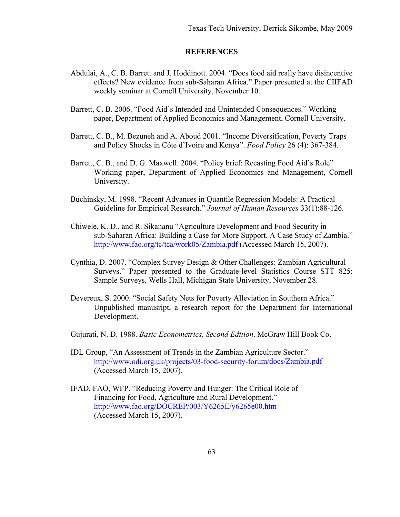## **REFERENCES**

- Abdulai, A., C. B. Barrett and J. Hoddinott. 2004. "Does food aid really have disincentive effects? New evidence from sub-Saharan Africa." Paper presented at the CIIFAD weekly seminar at Cornell University, November 10.
- Barrett, C. B. 2006. "Food Aid's Intended and Unintended Consequences." Working paper, Department of Applied Economics and Management, Cornell University.
- Barrett, C. B., M. Bezuneh and A. Aboud 2001. "Income Diversification, Poverty Traps and Policy Shocks in Côte d'Ivoire and Kenya". *Food Policy* 26 (4): 367-384.
- Barrett, C. B., and D. G. Maxwell. 2004. "Policy brief: Recasting Food Aid's Role" Working paper, Department of Applied Economics and Management, Cornell University.
- Buchinsky, M. 1998. "Recent Advances in Quantile Regression Models: A Practical Guideline for Empirical Research." *Journal of Human Resources* 33(1):88-126.
- Chiwele, K. D., and R. Sikananu "Agriculture Development and Food Security in sub-Saharan Africa: Building a Case for More Support. A Case Study of Zambia." <http://www.fao.org/tc/tca/work05/Zambia.pdf> (Accessed March 15, 2007).
- Cynthia, D. 2007. ["Complex Survey Design & Other Challenges: Zambian Agricultural](http://www.aec.msu.edu/fs2/zambia/donovan-zambiastatspresent2007_base_1997_8.pdf)  [Surveys."](http://www.aec.msu.edu/fs2/zambia/donovan-zambiastatspresent2007_base_1997_8.pdf) Paper presented to the Graduate-level Statistics Course STT 825: Sample Surveys, Wells Hall, Michigan State University, November 28.
- Devereux, S. 2000. "Social Safety Nets for Poverty Alleviation in Southern Africa." Unpublished manusript, a research report for the Department for International Development.
- Gujurati, N. D. 1988. *Basic Econometrics, Second Edition*. McGraw Hill Book Co.
- IDL Group, "An Assessment of Trends in the Zambian Agriculture Sector." <http://www.odi.org.uk/projects/03-food-security-forum/docs/Zambia.pdf> (Accessed March 15, 2007).
- IFAD, FAO, WFP. "Reducing Poverty and Hunger: The Critical Role of Financing for Food, Agriculture and Rural Development." <http://www.fao.org/DOCREP/003/Y6265E/y6265e00.htm> (Accessed March 15, 2007).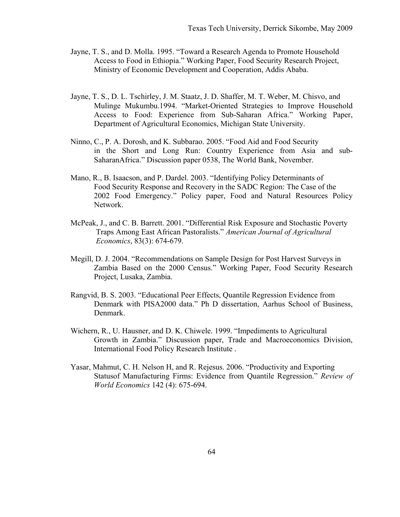- Jayne, T. S., and D. Molla. 1995. "Toward a Research Agenda to Promote Household Access to Food in Ethiopia." Working Paper, Food Security Research Project, Ministry of Economic Development and Cooperation, Addis Ababa.
- Jayne, T. S., D. L. Tschirley, J. M. Staatz, J. D. Shaffer, M. T. Weber, M. Chisvo, and Mulinge Mukumbu.1994. "Market-Oriented Strategies to Improve Household Access to Food: Experience from Sub-Saharan Africa." Working Paper, Department of Agricultural Economics, Michigan State University.
- Ninno, C., P. A. Dorosh, and K. Subbarao. 2005. "Food Aid and Food Security in the Short and Long Run: Country Experience from Asia and sub-SaharanAfrica." Discussion paper 0538, The World Bank, November.
- Mano, R., B. Isaacson, and P. Dardel. 2003. "Identifying Policy Determinants of Food Security Response and Recovery in the SADC Region: The Case of the 2002 Food Emergency." Policy paper, Food and Natural Resources Policy Network.
- McPeak, J., and C. B. Barrett. 2001. "Differential Risk Exposure and Stochastic Poverty Traps Among East African Pastoralists." *American Journal of Agricultural Economics*, 83(3): 674-679.
- Megill, D. J. 2004. "Recommendations on Sample Design for Post Harvest Surveys in Zambia Based on the 2000 Census." Working Paper, Food Security Research Project, Lusaka, Zambia.
- Rangvid, B. S. 2003. "Educational Peer Effects, Quantile Regression Evidence from Denmark with PISA2000 data." Ph D dissertation, Aarhus School of Business, Denmark.
- Wichern, R., U. Hausner, and D. K. Chiwele. 1999. "Impediments to Agricultural Growth in Zambia." Discussion paper, Trade and Macroeconomics Division, International Food Policy Research Institute .
- Yasar, Mahmut, C. H. Nelson H, and R. Rejesus. 2006. "Productivity and Exporting Statusof Manufacturing Firms: Evidence from Quantile Regression." *Review of World Economics* 142 (4): 675-694.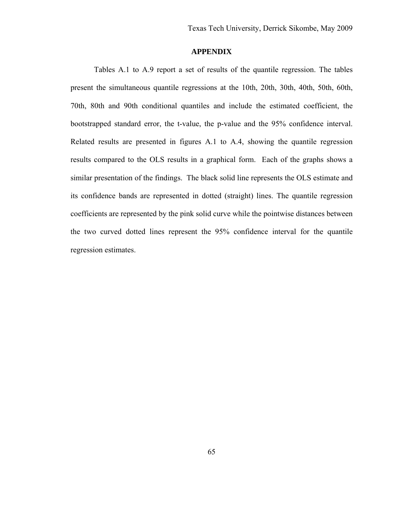## **APPENDIX**

Tables A.1 to A.9 report a set of results of the quantile regression. The tables present the simultaneous quantile regressions at the 10th, 20th, 30th, 40th, 50th, 60th, 70th, 80th and 90th conditional quantiles and include the estimated coefficient, the bootstrapped standard error, the t-value, the p-value and the 95% confidence interval. Related results are presented in figures A.1 to A.4, showing the quantile regression results compared to the OLS results in a graphical form. Each of the graphs shows a similar presentation of the findings. The black solid line represents the OLS estimate and its confidence bands are represented in dotted (straight) lines. The quantile regression coefficients are represented by the pink solid curve while the pointwise distances between the two curved dotted lines represent the 95% confidence interval for the quantile regression estimates.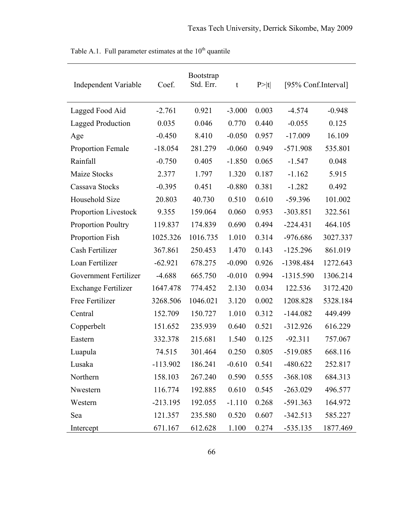| <b>Independent Variable</b> | Coef.      | Bootstrap<br>Std. Err. | t        | P> t  | [95% Conf.Interval] |          |
|-----------------------------|------------|------------------------|----------|-------|---------------------|----------|
| Lagged Food Aid             | $-2.761$   | 0.921                  | $-3.000$ | 0.003 | $-4.574$            | $-0.948$ |
| Lagged Production           | 0.035      | 0.046                  | 0.770    | 0.440 | $-0.055$            | 0.125    |
| Age                         | $-0.450$   | 8.410                  | $-0.050$ | 0.957 | $-17.009$           | 16.109   |
| <b>Proportion Female</b>    | $-18.054$  | 281.279                | $-0.060$ | 0.949 | $-571.908$          | 535.801  |
| Rainfall                    | $-0.750$   | 0.405                  | $-1.850$ | 0.065 | $-1.547$            | 0.048    |
| Maize Stocks                | 2.377      | 1.797                  | 1.320    | 0.187 | $-1.162$            | 5.915    |
| Cassava Stocks              | $-0.395$   | 0.451                  | $-0.880$ | 0.381 | $-1.282$            | 0.492    |
| Household Size              | 20.803     | 40.730                 | 0.510    | 0.610 | $-59.396$           | 101.002  |
| Proportion Livestock        | 9.355      | 159.064                | 0.060    | 0.953 | $-303.851$          | 322.561  |
| <b>Proportion Poultry</b>   | 119.837    | 174.839                | 0.690    | 0.494 | $-224.431$          | 464.105  |
| Proportion Fish             | 1025.326   | 1016.735               | 1.010    | 0.314 | $-976.686$          | 3027.337 |
| Cash Fertilizer             | 367.861    | 250.453                | 1.470    | 0.143 | $-125.296$          | 861.019  |
| Loan Fertilizer             | $-62.921$  | 678.275                | $-0.090$ | 0.926 | -1398.484           | 1272.643 |
| Government Fertilizer       | $-4.688$   | 665.750                | $-0.010$ | 0.994 | $-1315.590$         | 1306.214 |
| <b>Exchange Fertilizer</b>  | 1647.478   | 774.452                | 2.130    | 0.034 | 122.536             | 3172.420 |
| Free Fertilizer             | 3268.506   | 1046.021               | 3.120    | 0.002 | 1208.828            | 5328.184 |
| Central                     | 152.709    | 150.727                | 1.010    | 0.312 | $-144.082$          | 449.499  |
| Copperbelt                  | 151.652    | 235.939                | 0.640    | 0.521 | $-312.926$          | 616.229  |
| Eastern                     | 332.378    | 215.681                | 1.540    | 0.125 | $-92.311$           | 757.067  |
| Luapula                     | 74.515     | 301.464                | 0.250    | 0.805 | $-519.085$          | 668.116  |
| Lusaka                      | $-113.902$ | 186.241                | $-0.610$ | 0.541 | $-480.622$          | 252.817  |
| Northern                    | 158.103    | 267.240                | 0.590    | 0.555 | $-368.108$          | 684.313  |
| Nwestern                    | 116.774    | 192.885                | 0.610    | 0.545 | $-263.029$          | 496.577  |
| Western                     | $-213.195$ | 192.055                | $-1.110$ | 0.268 | $-591.363$          | 164.972  |
| Sea                         | 121.357    | 235.580                | 0.520    | 0.607 | $-342.513$          | 585.227  |
| Intercept                   | 671.167    | 612.628                | 1.100    | 0.274 | $-535.135$          | 1877.469 |

Table A.1. Full parameter estimates at the  $10^{th}$  quantile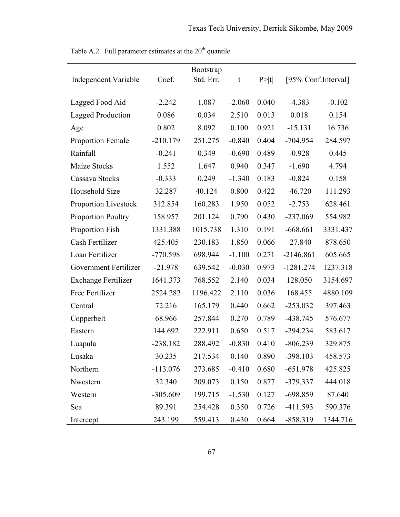| <b>Bootstrap</b>            |            |           |          |       |                     |          |  |
|-----------------------------|------------|-----------|----------|-------|---------------------|----------|--|
| <b>Independent Variable</b> | Coef.      | Std. Err. | t        | P> t  | [95% Conf.Interval] |          |  |
| Lagged Food Aid             | $-2.242$   | 1.087     | $-2.060$ | 0.040 | $-4.383$            | $-0.102$ |  |
| <b>Lagged Production</b>    | 0.086      | 0.034     | 2.510    | 0.013 | 0.018               | 0.154    |  |
| Age                         | 0.802      | 8.092     | 0.100    | 0.921 | $-15.131$           | 16.736   |  |
| <b>Proportion Female</b>    | $-210.179$ | 251.275   | $-0.840$ | 0.404 | $-704.954$          | 284.597  |  |
| Rainfall                    | $-0.241$   | 0.349     | $-0.690$ | 0.489 | $-0.928$            | 0.445    |  |
| Maize Stocks                | 1.552      | 1.647     | 0.940    | 0.347 | $-1.690$            | 4.794    |  |
| Cassava Stocks              | $-0.333$   | 0.249     | $-1.340$ | 0.183 | $-0.824$            | 0.158    |  |
| Household Size              | 32.287     | 40.124    | 0.800    | 0.422 | $-46.720$           | 111.293  |  |
| <b>Proportion Livestock</b> | 312.854    | 160.283   | 1.950    | 0.052 | $-2.753$            | 628.461  |  |
| <b>Proportion Poultry</b>   | 158.957    | 201.124   | 0.790    | 0.430 | $-237.069$          | 554.982  |  |
| Proportion Fish             | 1331.388   | 1015.738  | 1.310    | 0.191 | $-668.661$          | 3331.437 |  |
| Cash Fertilizer             | 425.405    | 230.183   | 1.850    | 0.066 | $-27.840$           | 878.650  |  |
| Loan Fertilizer             | $-770.598$ | 698.944   | $-1.100$ | 0.271 | $-2146.861$         | 605.665  |  |
| Government Fertilizer       | $-21.978$  | 639.542   | $-0.030$ | 0.973 | $-1281.274$         | 1237.318 |  |
| <b>Exchange Fertilizer</b>  | 1641.373   | 768.552   | 2.140    | 0.034 | 128.050             | 3154.697 |  |
| Free Fertilizer             | 2524.282   | 1196.422  | 2.110    | 0.036 | 168.455             | 4880.109 |  |
| Central                     | 72.216     | 165.179   | 0.440    | 0.662 | $-253.032$          | 397.463  |  |
| Copperbelt                  | 68.966     | 257.844   | 0.270    | 0.789 | $-438.745$          | 576.677  |  |
| Eastern                     | 144.692    | 222.911   | 0.650    | 0.517 | $-294.234$          | 583.617  |  |
| Luapula                     | $-238.182$ | 288.492   | $-0.830$ | 0.410 | $-806.239$          | 329.875  |  |
| Lusaka                      | 30.235     | 217.534   | 0.140    | 0.890 | $-398.103$          | 458.573  |  |
| Northern                    | $-113.076$ | 273.685   | $-0.410$ | 0.680 | $-651.978$          | 425.825  |  |
| Nwestern                    | 32.340     | 209.073   | 0.150    | 0.877 | -379.337            | 444.018  |  |
| Western                     | $-305.609$ | 199.715   | $-1.530$ | 0.127 | $-698.859$          | 87.640   |  |
| Sea                         | 89.391     | 254.428   | 0.350    | 0.726 | $-411.593$          | 590.376  |  |
| Intercept                   | 243.199    | 559.413   | 0.430    | 0.664 | $-858.319$          | 1344.716 |  |

Table A.2. Full parameter estimates at the  $20<sup>th</sup>$  quantile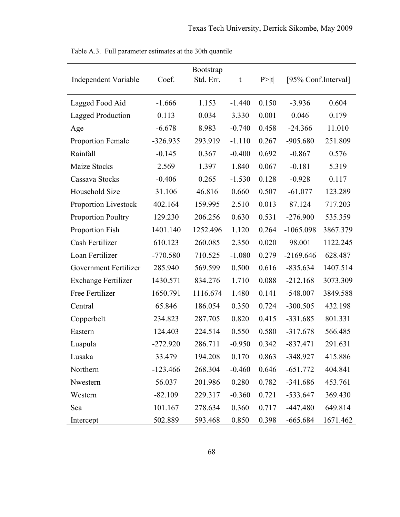| <b>Independent Variable</b> | Coef.      | Bootstrap<br>Std. Err. | t        | P >  t | [95% Conf.Interval] |          |
|-----------------------------|------------|------------------------|----------|--------|---------------------|----------|
| Lagged Food Aid             | $-1.666$   | 1.153                  | $-1.440$ | 0.150  | $-3.936$            | 0.604    |
| <b>Lagged Production</b>    | 0.113      | 0.034                  | 3.330    | 0.001  | 0.046               | 0.179    |
| Age                         | $-6.678$   | 8.983                  | $-0.740$ | 0.458  | $-24.366$           | 11.010   |
| <b>Proportion Female</b>    | $-326.935$ | 293.919                | $-1.110$ | 0.267  | $-905.680$          | 251.809  |
| Rainfall                    | $-0.145$   | 0.367                  | $-0.400$ | 0.692  | $-0.867$            | 0.576    |
| Maize Stocks                | 2.569      | 1.397                  | 1.840    | 0.067  | $-0.181$            | 5.319    |
| Cassava Stocks              | $-0.406$   | 0.265                  | $-1.530$ | 0.128  | $-0.928$            | 0.117    |
| Household Size              | 31.106     | 46.816                 | 0.660    | 0.507  | $-61.077$           | 123.289  |
| <b>Proportion Livestock</b> | 402.164    | 159.995                | 2.510    | 0.013  | 87.124              | 717.203  |
| <b>Proportion Poultry</b>   | 129.230    | 206.256                | 0.630    | 0.531  | $-276.900$          | 535.359  |
| Proportion Fish             | 1401.140   | 1252.496               | 1.120    | 0.264  | $-1065.098$         | 3867.379 |
| Cash Fertilizer             | 610.123    | 260.085                | 2.350    | 0.020  | 98.001              | 1122.245 |
| Loan Fertilizer             | $-770.580$ | 710.525                | $-1.080$ | 0.279  | $-2169.646$         | 628.487  |
| Government Fertilizer       | 285.940    | 569.599                | 0.500    | 0.616  | $-835.634$          | 1407.514 |
| <b>Exchange Fertilizer</b>  | 1430.571   | 834.276                | 1.710    | 0.088  | $-212.168$          | 3073.309 |
| Free Fertilizer             | 1650.791   | 1116.674               | 1.480    | 0.141  | $-548.007$          | 3849.588 |
| Central                     | 65.846     | 186.054                | 0.350    | 0.724  | $-300.505$          | 432.198  |
| Copperbelt                  | 234.823    | 287.705                | 0.820    | 0.415  | $-331.685$          | 801.331  |
| Eastern                     | 124.403    | 224.514                | 0.550    | 0.580  | $-317.678$          | 566.485  |
| Luapula                     | $-272.920$ | 286.711                | $-0.950$ | 0.342  | $-837.471$          | 291.631  |
| Lusaka                      | 33.479     | 194.208                | 0.170    | 0.863  | $-348.927$          | 415.886  |
| Northern                    | $-123.466$ | 268.304                | $-0.460$ | 0.646  | $-651.772$          | 404.841  |
| Nwestern                    | 56.037     | 201.986                | 0.280    | 0.782  | $-341.686$          | 453.761  |
| Western                     | $-82.109$  | 229.317                | $-0.360$ | 0.721  | $-533.647$          | 369.430  |
| Sea                         | 101.167    | 278.634                | 0.360    | 0.717  | $-447.480$          | 649.814  |
| Intercept                   | 502.889    | 593.468                | 0.850    | 0.398  | $-665.684$          | 1671.462 |

Table A.3. Full parameter estimates at the 30th quantile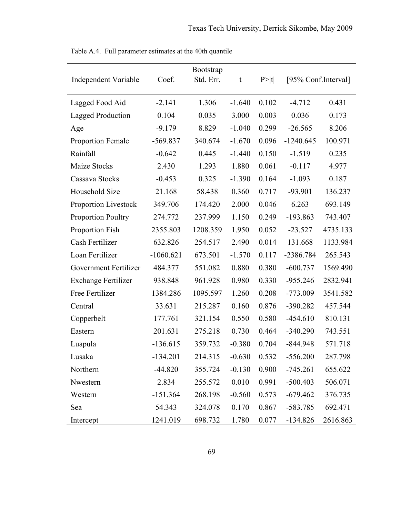| <b>Independent Variable</b> | Coef.       | <b>Bootstrap</b><br>Std. Err. | t        | P >  t | [95% Conf.Interval] |          |
|-----------------------------|-------------|-------------------------------|----------|--------|---------------------|----------|
| Lagged Food Aid             | $-2.141$    | 1.306                         | $-1.640$ | 0.102  | $-4.712$            | 0.431    |
| <b>Lagged Production</b>    | 0.104       | 0.035                         | 3.000    | 0.003  | 0.036               | 0.173    |
| Age                         | $-9.179$    | 8.829                         | $-1.040$ | 0.299  | $-26.565$           | 8.206    |
| <b>Proportion Female</b>    | $-569.837$  | 340.674                       | $-1.670$ | 0.096  | $-1240.645$         | 100.971  |
| Rainfall                    | $-0.642$    | 0.445                         | $-1.440$ | 0.150  | $-1.519$            | 0.235    |
| Maize Stocks                | 2.430       | 1.293                         | 1.880    | 0.061  | $-0.117$            | 4.977    |
| Cassava Stocks              | $-0.453$    | 0.325                         | $-1.390$ | 0.164  | $-1.093$            | 0.187    |
| Household Size              | 21.168      | 58.438                        | 0.360    | 0.717  | $-93.901$           | 136.237  |
| Proportion Livestock        | 349.706     | 174.420                       | 2.000    | 0.046  | 6.263               | 693.149  |
| <b>Proportion Poultry</b>   | 274.772     | 237.999                       | 1.150    | 0.249  | $-193.863$          | 743.407  |
| Proportion Fish             | 2355.803    | 1208.359                      | 1.950    | 0.052  | $-23.527$           | 4735.133 |
| Cash Fertilizer             | 632.826     | 254.517                       | 2.490    | 0.014  | 131.668             | 1133.984 |
| Loan Fertilizer             | $-1060.621$ | 673.501                       | $-1.570$ | 0.117  | -2386.784           | 265.543  |
| Government Fertilizer       | 484.377     | 551.082                       | 0.880    | 0.380  | $-600.737$          | 1569.490 |
| <b>Exchange Fertilizer</b>  | 938.848     | 961.928                       | 0.980    | 0.330  | $-955.246$          | 2832.941 |
| Free Fertilizer             | 1384.286    | 1095.597                      | 1.260    | 0.208  | $-773.009$          | 3541.582 |
| Central                     | 33.631      | 215.287                       | 0.160    | 0.876  | $-390.282$          | 457.544  |
| Copperbelt                  | 177.761     | 321.154                       | 0.550    | 0.580  | $-454.610$          | 810.131  |
| Eastern                     | 201.631     | 275.218                       | 0.730    | 0.464  | $-340.290$          | 743.551  |
| Luapula                     | $-136.615$  | 359.732                       | $-0.380$ | 0.704  | $-844.948$          | 571.718  |
| Lusaka                      | $-134.201$  | 214.315                       | $-0.630$ | 0.532  | $-556.200$          | 287.798  |
| Northern                    | $-44.820$   | 355.724                       | $-0.130$ | 0.900  | $-745.261$          | 655.622  |
| Nwestern                    | 2.834       | 255.572                       | 0.010    | 0.991  | $-500.403$          | 506.071  |
| Western                     | $-151.364$  | 268.198                       | $-0.560$ | 0.573  | $-679.462$          | 376.735  |
| Sea                         | 54.343      | 324.078                       | 0.170    | 0.867  | $-583.785$          | 692.471  |
| Intercept                   | 1241.019    | 698.732                       | 1.780    | 0.077  | $-134.826$          | 2616.863 |

Table A.4. Full parameter estimates at the 40th quantile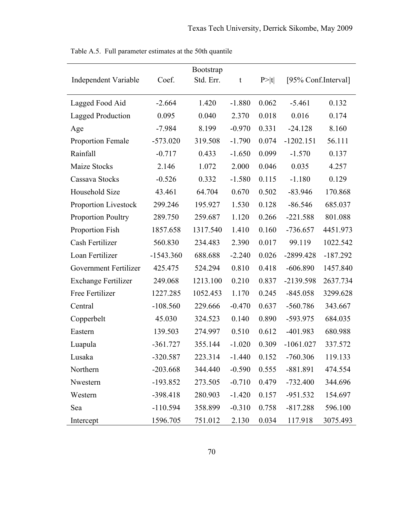|                             |             | Bootstrap |          |        |                     |            |
|-----------------------------|-------------|-----------|----------|--------|---------------------|------------|
| <b>Independent Variable</b> | Coef.       | Std. Err. | t        | P >  t | [95% Conf.Interval] |            |
| Lagged Food Aid             | $-2.664$    | 1.420     | $-1.880$ | 0.062  | $-5.461$            | 0.132      |
| <b>Lagged Production</b>    | 0.095       | 0.040     | 2.370    | 0.018  | 0.016               | 0.174      |
| Age                         | $-7.984$    | 8.199     | $-0.970$ | 0.331  | $-24.128$           | 8.160      |
| <b>Proportion Female</b>    | $-573.020$  | 319.508   | $-1.790$ | 0.074  | $-1202.151$         | 56.111     |
| Rainfall                    | $-0.717$    | 0.433     | $-1.650$ | 0.099  | $-1.570$            | 0.137      |
| Maize Stocks                | 2.146       | 1.072     | 2.000    | 0.046  | 0.035               | 4.257      |
| Cassava Stocks              | $-0.526$    | 0.332     | $-1.580$ | 0.115  | $-1.180$            | 0.129      |
| Household Size              | 43.461      | 64.704    | 0.670    | 0.502  | $-83.946$           | 170.868    |
| <b>Proportion Livestock</b> | 299.246     | 195.927   | 1.530    | 0.128  | $-86.546$           | 685.037    |
| <b>Proportion Poultry</b>   | 289.750     | 259.687   | 1.120    | 0.266  | $-221.588$          | 801.088    |
| Proportion Fish             | 1857.658    | 1317.540  | 1.410    | 0.160  | $-736.657$          | 4451.973   |
| Cash Fertilizer             | 560.830     | 234.483   | 2.390    | 0.017  | 99.119              | 1022.542   |
| Loan Fertilizer             | $-1543.360$ | 688.688   | $-2.240$ | 0.026  | $-2899.428$         | $-187.292$ |
| Government Fertilizer       | 425.475     | 524.294   | 0.810    | 0.418  | $-606.890$          | 1457.840   |
| <b>Exchange Fertilizer</b>  | 249.068     | 1213.100  | 0.210    | 0.837  | -2139.598           | 2637.734   |
| Free Fertilizer             | 1227.285    | 1052.453  | 1.170    | 0.245  | $-845.058$          | 3299.628   |
| Central                     | $-108.560$  | 229.666   | $-0.470$ | 0.637  | $-560.786$          | 343.667    |
| Copperbelt                  | 45.030      | 324.523   | 0.140    | 0.890  | -593.975            | 684.035    |
| Eastern                     | 139.503     | 274.997   | 0.510    | 0.612  | $-401.983$          | 680.988    |
| Luapula                     | $-361.727$  | 355.144   | $-1.020$ | 0.309  | $-1061.027$         | 337.572    |
| Lusaka                      | $-320.587$  | 223.314   | $-1.440$ | 0.152  | $-760.306$          | 119.133    |
| Northern                    | $-203.668$  | 344.440   | $-0.590$ | 0.555  | $-881.891$          | 474.554    |
| Nwestern                    | $-193.852$  | 273.505   | $-0.710$ | 0.479  | $-732.400$          | 344.696    |
| Western                     | $-398.418$  | 280.903   | $-1.420$ | 0.157  | $-951.532$          | 154.697    |
| Sea                         | $-110.594$  | 358.899   | $-0.310$ | 0.758  | $-817.288$          | 596.100    |
| Intercept                   | 1596.705    | 751.012   | 2.130    | 0.034  | 117.918             | 3075.493   |

Table A.5. Full parameter estimates at the 50th quantile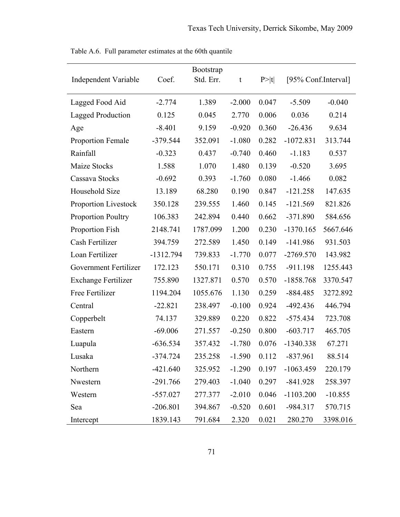| <b>Independent Variable</b> | Coef.       | <b>Bootstrap</b><br>Std. Err. | t                | P >  t | [95% Conf.Interval] |           |  |
|-----------------------------|-------------|-------------------------------|------------------|--------|---------------------|-----------|--|
| Lagged Food Aid             | $-2.774$    | 1.389                         | $-2.000$         | 0.047  | $-5.509$            | $-0.040$  |  |
| <b>Lagged Production</b>    | 0.125       | 0.045                         | 2.770            | 0.006  | 0.036               | 0.214     |  |
| Age                         | $-8.401$    | 9.159                         | $-0.920$         | 0.360  | $-26.436$           | 9.634     |  |
| <b>Proportion Female</b>    | $-379.544$  | 352.091                       | $-1.080$         | 0.282  | $-1072.831$         | 313.744   |  |
| Rainfall                    | $-0.323$    | 0.437                         | $-0.740$         | 0.460  | $-1.183$            | 0.537     |  |
| Maize Stocks                | 1.588       | 1.070                         | 1.480            | 0.139  | $-0.520$            | 3.695     |  |
| Cassava Stocks              | $-0.692$    | 0.393                         | $-1.760$         | 0.080  | $-1.466$            | 0.082     |  |
| Household Size              | 13.189      | 68.280                        | 0.190            | 0.847  | $-121.258$          | 147.635   |  |
| <b>Proportion Livestock</b> | 350.128     | 239.555                       | 1.460            | 0.145  | $-121.569$          | 821.826   |  |
| <b>Proportion Poultry</b>   | 106.383     | 242.894                       | 0.440            | 0.662  | $-371.890$          | 584.656   |  |
| Proportion Fish             | 2148.741    | 1787.099                      | 1.200            | 0.230  | $-1370.165$         | 5667.646  |  |
| Cash Fertilizer             | 394.759     | 272.589                       | 1.450            | 0.149  | $-141.986$          | 931.503   |  |
| Loan Fertilizer             | $-1312.794$ | 739.833                       | $-1.770$         | 0.077  | $-2769.570$         | 143.982   |  |
| Government Fertilizer       | 172.123     | 550.171                       | 0.310            | 0.755  | $-911.198$          | 1255.443  |  |
| <b>Exchange Fertilizer</b>  | 755.890     | 1327.871                      | 0.570            | 0.570  | $-1858.768$         | 3370.547  |  |
| Free Fertilizer             | 1194.204    | 1055.676                      | 1.130            | 0.259  | $-884.485$          | 3272.892  |  |
| Central                     | $-22.821$   | 238.497                       | $-0.100$         | 0.924  | $-492.436$          | 446.794   |  |
| Copperbelt                  | 74.137      | 329.889                       | 0.220            | 0.822  | $-575.434$          | 723.708   |  |
| Eastern                     | $-69.006$   | 271.557                       | $-0.250$         | 0.800  | $-603.717$          | 465.705   |  |
| Luapula                     | $-636.534$  | 357.432                       | $-1.780$         | 0.076  | $-1340.338$         | 67.271    |  |
| Lusaka                      | $-374.724$  | 235.258                       | $-1.590$ $0.112$ |        | $-837.961$          | 88.514    |  |
| Northern                    | $-421.640$  | 325.952                       | $-1.290$         | 0.197  | $-1063.459$         | 220.179   |  |
| Nwestern                    | $-291.766$  | 279.403                       | $-1.040$         | 0.297  | $-841.928$          | 258.397   |  |
| Western                     | $-557.027$  | 277.377                       | $-2.010$         | 0.046  | $-1103.200$         | $-10.855$ |  |
| Sea                         | $-206.801$  | 394.867                       | $-0.520$         | 0.601  | $-984.317$          | 570.715   |  |
| Intercept                   | 1839.143    | 791.684                       | 2.320            | 0.021  | 280.270             | 3398.016  |  |

Table A.6. Full parameter estimates at the 60th quantile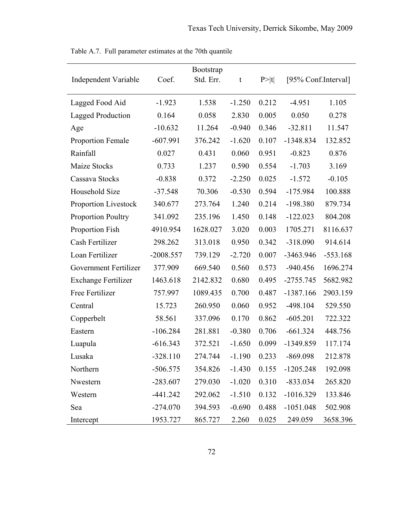| <b>Independent Variable</b> | Coef.       | <b>Bootstrap</b><br>Std. Err. | t        | P >  t | [95% Conf.Interval] |            |
|-----------------------------|-------------|-------------------------------|----------|--------|---------------------|------------|
| Lagged Food Aid             | $-1.923$    | 1.538                         | $-1.250$ | 0.212  | $-4.951$            | 1.105      |
| <b>Lagged Production</b>    | 0.164       | 0.058                         | 2.830    | 0.005  | 0.050               | 0.278      |
| Age                         | $-10.632$   | 11.264                        | $-0.940$ | 0.346  | $-32.811$           | 11.547     |
| <b>Proportion Female</b>    | $-607.991$  | 376.242                       | $-1.620$ | 0.107  | -1348.834           | 132.852    |
| Rainfall                    | 0.027       | 0.431                         | 0.060    | 0.951  | $-0.823$            | 0.876      |
| Maize Stocks                | 0.733       | 1.237                         | 0.590    | 0.554  | $-1.703$            | 3.169      |
| Cassava Stocks              | $-0.838$    | 0.372                         | $-2.250$ | 0.025  | $-1.572$            | $-0.105$   |
| Household Size              | $-37.548$   | 70.306                        | $-0.530$ | 0.594  | $-175.984$          | 100.888    |
| Proportion Livestock        | 340.677     | 273.764                       | 1.240    | 0.214  | $-198.380$          | 879.734    |
| <b>Proportion Poultry</b>   | 341.092     | 235.196                       | 1.450    | 0.148  | $-122.023$          | 804.208    |
| Proportion Fish             | 4910.954    | 1628.027                      | 3.020    | 0.003  | 1705.271            | 8116.637   |
| Cash Fertilizer             | 298.262     | 313.018                       | 0.950    | 0.342  | $-318.090$          | 914.614    |
| Loan Fertilizer             | $-2008.557$ | 739.129                       | $-2.720$ | 0.007  | $-3463.946$         | $-553.168$ |
| Government Fertilizer       | 377.909     | 669.540                       | 0.560    | 0.573  | $-940.456$          | 1696.274   |
| <b>Exchange Fertilizer</b>  | 1463.618    | 2142.832                      | 0.680    | 0.495  | $-2755.745$         | 5682.982   |
| Free Fertilizer             | 757.997     | 1089.435                      | 0.700    | 0.487  | $-1387.166$         | 2903.159   |
| Central                     | 15.723      | 260.950                       | 0.060    | 0.952  | $-498.104$          | 529.550    |
| Copperbelt                  | 58.561      | 337.096                       | 0.170    | 0.862  | $-605.201$          | 722.322    |
| Eastern                     | $-106.284$  | 281.881                       | $-0.380$ | 0.706  | $-661.324$          | 448.756    |
| Luapula                     | $-616.343$  | 372.521                       | $-1.650$ | 0.099  | $-1349.859$         | 117.174    |
| Lusaka                      | $-328.110$  | 274.744                       | $-1.190$ | 0.233  | $-869.098$          | 212.878    |
| Northern                    | $-506.575$  | 354.826                       | $-1.430$ | 0.155  | $-1205.248$         | 192.098    |
| Nwestern                    | $-283.607$  | 279.030                       | $-1.020$ | 0.310  | $-833.034$          | 265.820    |
| Western                     | $-441.242$  | 292.062                       | $-1.510$ | 0.132  | $-1016.329$         | 133.846    |
| Sea                         | $-274.070$  | 394.593                       | $-0.690$ | 0.488  | $-1051.048$         | 502.908    |
| Intercept                   | 1953.727    | 865.727                       | 2.260    | 0.025  | 249.059             | 3658.396   |

Table A.7. Full parameter estimates at the 70th quantile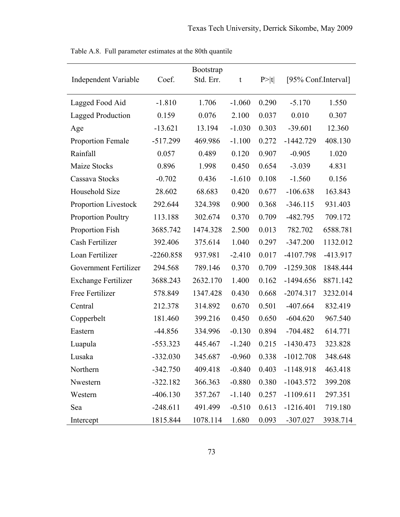| <b>Independent Variable</b> | Coef.       | <b>Bootstrap</b><br>Std. Err. | t        | P >  t | [95% Conf.Interval] |          |
|-----------------------------|-------------|-------------------------------|----------|--------|---------------------|----------|
| Lagged Food Aid             | $-1.810$    | 1.706                         | $-1.060$ | 0.290  | $-5.170$            | 1.550    |
| <b>Lagged Production</b>    | 0.159       | 0.076                         | 2.100    | 0.037  | 0.010               | 0.307    |
| Age                         | $-13.621$   | 13.194                        | $-1.030$ | 0.303  | $-39.601$           | 12.360   |
| <b>Proportion Female</b>    | $-517.299$  | 469.986                       | $-1.100$ | 0.272  | $-1442.729$         | 408.130  |
| Rainfall                    | 0.057       | 0.489                         | 0.120    | 0.907  | $-0.905$            | 1.020    |
| Maize Stocks                | 0.896       | 1.998                         | 0.450    | 0.654  | $-3.039$            | 4.831    |
| Cassava Stocks              | $-0.702$    | 0.436                         | $-1.610$ | 0.108  | $-1.560$            | 0.156    |
| Household Size              | 28.602      | 68.683                        | 0.420    | 0.677  | $-106.638$          | 163.843  |
| Proportion Livestock        | 292.644     | 324.398                       | 0.900    | 0.368  | $-346.115$          | 931.403  |
| <b>Proportion Poultry</b>   | 113.188     | 302.674                       | 0.370    | 0.709  | $-482.795$          | 709.172  |
| Proportion Fish             | 3685.742    | 1474.328                      | 2.500    | 0.013  | 782.702             | 6588.781 |
| Cash Fertilizer             | 392.406     | 375.614                       | 1.040    | 0.297  | $-347.200$          | 1132.012 |
| Loan Fertilizer             | $-2260.858$ | 937.981                       | $-2.410$ | 0.017  | -4107.798           | -413.917 |
| Government Fertilizer       | 294.568     | 789.146                       | 0.370    | 0.709  | $-1259.308$         | 1848.444 |
| <b>Exchange Fertilizer</b>  | 3688.243    | 2632.170                      | 1.400    | 0.162  | $-1494.656$         | 8871.142 |
| Free Fertilizer             | 578.849     | 1347.428                      | 0.430    | 0.668  | $-2074.317$         | 3232.014 |
| Central                     | 212.378     | 314.892                       | 0.670    | 0.501  | $-407.664$          | 832.419  |
| Copperbelt                  | 181.460     | 399.216                       | 0.450    | 0.650  | $-604.620$          | 967.540  |
| Eastern                     | $-44.856$   | 334.996                       | $-0.130$ | 0.894  | $-704.482$          | 614.771  |
| Luapula                     | $-553.323$  | 445.467                       | $-1.240$ | 0.215  | $-1430.473$         | 323.828  |
| Lusaka                      | $-332.030$  | 345.687                       | $-0.960$ | 0.338  | $-1012.708$         | 348.648  |
| Northern                    | $-342.750$  | 409.418                       | $-0.840$ | 0.403  | $-1148.918$         | 463.418  |
| Nwestern                    | $-322.182$  | 366.363                       | $-0.880$ | 0.380  | $-1043.572$         | 399.208  |
| Western                     | $-406.130$  | 357.267                       | $-1.140$ | 0.257  | $-1109.611$         | 297.351  |
| Sea                         | $-248.611$  | 491.499                       | $-0.510$ | 0.613  | $-1216.401$         | 719.180  |
| Intercept                   | 1815.844    | 1078.114                      | 1.680    | 0.093  | $-307.027$          | 3938.714 |

Table A.8. Full parameter estimates at the 80th quantile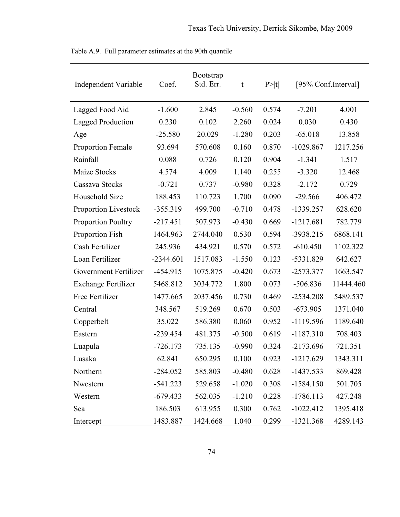| <b>Independent Variable</b> | Coef.       | <b>Bootstrap</b><br>Std. Err. | t        | P> t  | [95% Conf.Interval] |           |
|-----------------------------|-------------|-------------------------------|----------|-------|---------------------|-----------|
| Lagged Food Aid             | $-1.600$    | 2.845                         | $-0.560$ | 0.574 | $-7.201$            | 4.001     |
| <b>Lagged Production</b>    | 0.230       | 0.102                         | 2.260    | 0.024 | 0.030               | 0.430     |
| Age                         | $-25.580$   | 20.029                        | $-1.280$ | 0.203 | $-65.018$           | 13.858    |
| Proportion Female           | 93.694      | 570.608                       | 0.160    | 0.870 | $-1029.867$         | 1217.256  |
| Rainfall                    | 0.088       | 0.726                         | 0.120    | 0.904 | $-1.341$            | 1.517     |
| Maize Stocks                | 4.574       | 4.009                         | 1.140    | 0.255 | $-3.320$            | 12.468    |
| Cassava Stocks              | $-0.721$    | 0.737                         | $-0.980$ | 0.328 | $-2.172$            | 0.729     |
| Household Size              | 188.453     | 110.723                       | 1.700    | 0.090 | $-29.566$           | 406.472   |
| <b>Proportion Livestock</b> | $-355.319$  | 499.700                       | $-0.710$ | 0.478 | $-1339.257$         | 628.620   |
| <b>Proportion Poultry</b>   | $-217.451$  | 507.973                       | $-0.430$ | 0.669 | $-1217.681$         | 782.779   |
| Proportion Fish             | 1464.963    | 2744.040                      | 0.530    | 0.594 | $-3938.215$         | 6868.141  |
| Cash Fertilizer             | 245.936     | 434.921                       | 0.570    | 0.572 | $-610.450$          | 1102.322  |
| Loan Fertilizer             | $-2344.601$ | 1517.083                      | $-1.550$ | 0.123 | $-5331.829$         | 642.627   |
| Government Fertilizer       | $-454.915$  | 1075.875                      | $-0.420$ | 0.673 | $-2573.377$         | 1663.547  |
| <b>Exchange Fertilizer</b>  | 5468.812    | 3034.772                      | 1.800    | 0.073 | $-506.836$          | 11444.460 |
| Free Fertilizer             | 1477.665    | 2037.456                      | 0.730    | 0.469 | $-2534.208$         | 5489.537  |
| Central                     | 348.567     | 519.269                       | 0.670    | 0.503 | $-673.905$          | 1371.040  |
| Copperbelt                  | 35.022      | 586.380                       | 0.060    | 0.952 | $-1119.596$         | 1189.640  |
| Eastern                     | $-239.454$  | 481.375                       | $-0.500$ | 0.619 | $-1187.310$         | 708.403   |
| Luapula                     | $-726.173$  | 735.135                       | $-0.990$ | 0.324 | $-2173.696$         | 721.351   |
| Lusaka                      | 62.841      | 650.295                       | 0.100    | 0.923 | $-1217.629$         | 1343.311  |
| Northern                    | $-284.052$  | 585.803                       | $-0.480$ | 0.628 | $-1437.533$         | 869.428   |
| Nwestern                    | $-541.223$  | 529.658                       | $-1.020$ | 0.308 | $-1584.150$         | 501.705   |
| Western                     | $-679.433$  | 562.035                       | $-1.210$ | 0.228 | $-1786.113$         | 427.248   |
| Sea                         | 186.503     | 613.955                       | 0.300    | 0.762 | $-1022.412$         | 1395.418  |
| Intercept                   | 1483.887    | 1424.668                      | 1.040    | 0.299 | $-1321.368$         | 4289.143  |

Table A.9. Full parameter estimates at the 90th quantile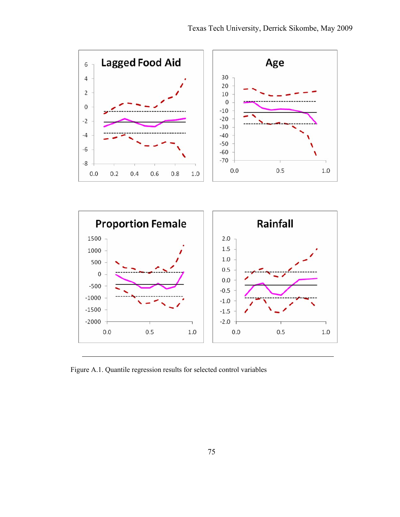

Figure A.1. Quantile regression results for selected control variables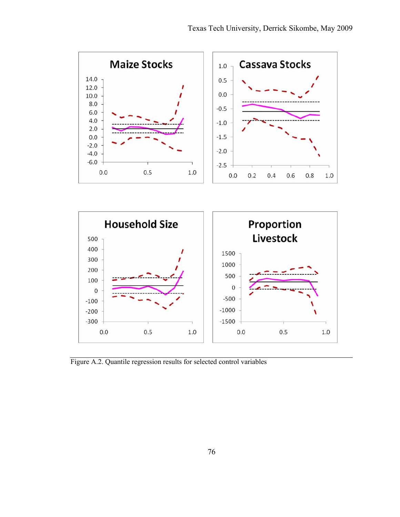

Figure A.2. Quantile regression results for selected control variables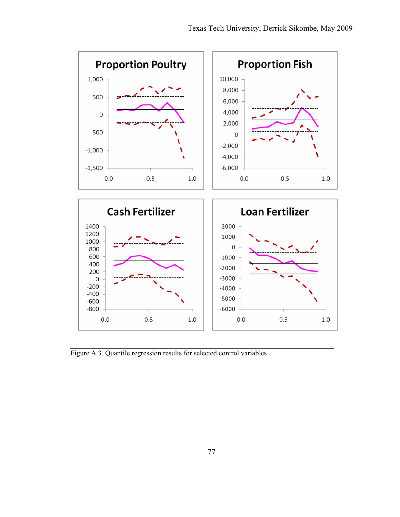

Figure A.3. Quantile regression results for selected control variables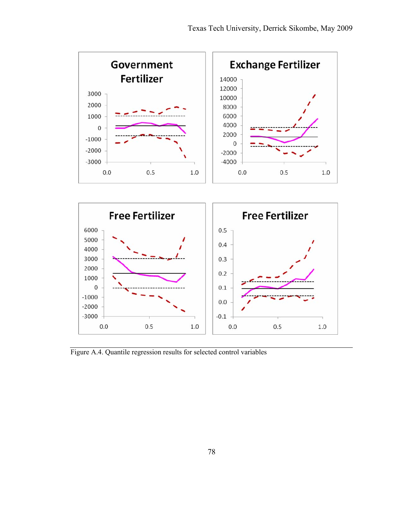

Figure A.4. Quantile regression results for selected control variables